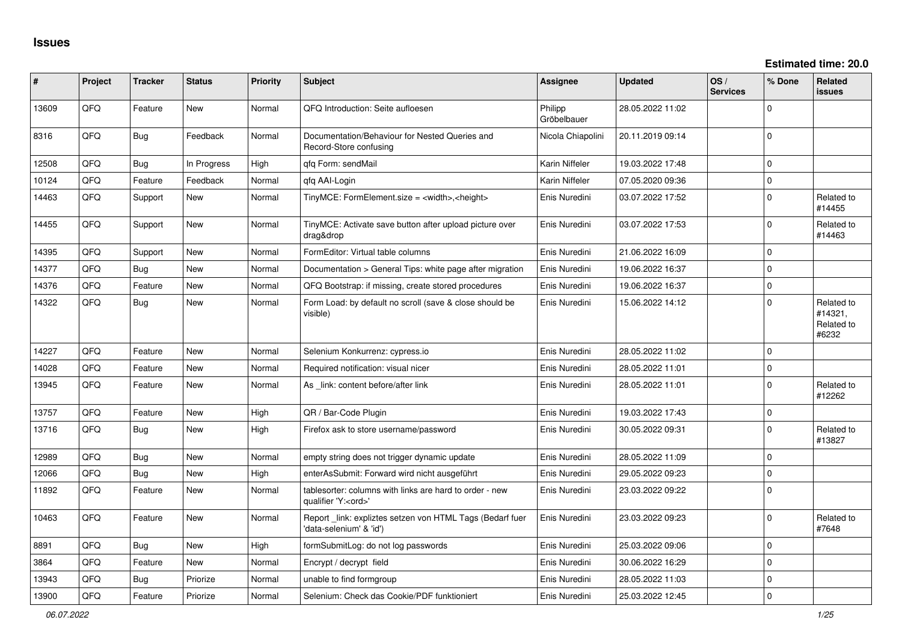| #     | Project | <b>Tracker</b> | <b>Status</b> | <b>Priority</b> | Subject                                                                               | <b>Assignee</b>        | <b>Updated</b>   | OS/<br><b>Services</b> | % Done      | Related<br><b>issues</b>                     |
|-------|---------|----------------|---------------|-----------------|---------------------------------------------------------------------------------------|------------------------|------------------|------------------------|-------------|----------------------------------------------|
| 13609 | QFQ     | Feature        | <b>New</b>    | Normal          | QFQ Introduction: Seite aufloesen                                                     | Philipp<br>Gröbelbauer | 28.05.2022 11:02 |                        | $\Omega$    |                                              |
| 8316  | QFQ     | Bug            | Feedback      | Normal          | Documentation/Behaviour for Nested Queries and<br>Record-Store confusing              | Nicola Chiapolini      | 20.11.2019 09:14 |                        | $\Omega$    |                                              |
| 12508 | QFQ     | <b>Bug</b>     | In Progress   | High            | qfq Form: sendMail                                                                    | Karin Niffeler         | 19.03.2022 17:48 |                        | $\Omega$    |                                              |
| 10124 | QFQ     | Feature        | Feedback      | Normal          | gfg AAI-Login                                                                         | Karin Niffeler         | 07.05.2020 09:36 |                        | $\mathbf 0$ |                                              |
| 14463 | QFQ     | Support        | New           | Normal          | TinyMCE: FormElement.size = <width>,<height></height></width>                         | Enis Nuredini          | 03.07.2022 17:52 |                        | $\Omega$    | Related to<br>#14455                         |
| 14455 | QFQ     | Support        | New           | Normal          | TinyMCE: Activate save button after upload picture over<br>drag&drop                  | Enis Nuredini          | 03.07.2022 17:53 |                        | $\Omega$    | Related to<br>#14463                         |
| 14395 | QFQ     | Support        | New           | Normal          | FormEditor: Virtual table columns                                                     | Enis Nuredini          | 21.06.2022 16:09 |                        | $\mathbf 0$ |                                              |
| 14377 | QFQ     | <b>Bug</b>     | <b>New</b>    | Normal          | Documentation > General Tips: white page after migration                              | Enis Nuredini          | 19.06.2022 16:37 |                        | $\mathbf 0$ |                                              |
| 14376 | QFQ     | Feature        | New           | Normal          | QFQ Bootstrap: if missing, create stored procedures                                   | Enis Nuredini          | 19.06.2022 16:37 |                        | $\Omega$    |                                              |
| 14322 | QFQ     | Bug            | <b>New</b>    | Normal          | Form Load: by default no scroll (save & close should be<br>visible)                   | Enis Nuredini          | 15.06.2022 14:12 |                        | $\Omega$    | Related to<br>#14321,<br>Related to<br>#6232 |
| 14227 | QFQ     | Feature        | New           | Normal          | Selenium Konkurrenz: cypress.io                                                       | Enis Nuredini          | 28.05.2022 11:02 |                        | $\mathbf 0$ |                                              |
| 14028 | QFQ     | Feature        | New           | Normal          | Required notification: visual nicer                                                   | Enis Nuredini          | 28.05.2022 11:01 |                        | $\Omega$    |                                              |
| 13945 | QFQ     | Feature        | New           | Normal          | As _link: content before/after link                                                   | Enis Nuredini          | 28.05.2022 11:01 |                        | $\Omega$    | Related to<br>#12262                         |
| 13757 | QFQ     | Feature        | New           | High            | QR / Bar-Code Plugin                                                                  | Enis Nuredini          | 19.03.2022 17:43 |                        | $\mathbf 0$ |                                              |
| 13716 | QFQ     | Bug            | New           | High            | Firefox ask to store username/password                                                | Enis Nuredini          | 30.05.2022 09:31 |                        | $\Omega$    | Related to<br>#13827                         |
| 12989 | QFQ     | <b>Bug</b>     | <b>New</b>    | Normal          | empty string does not trigger dynamic update                                          | Enis Nuredini          | 28.05.2022 11:09 |                        | $\mathbf 0$ |                                              |
| 12066 | QFQ     | <b>Bug</b>     | New           | High            | enterAsSubmit: Forward wird nicht ausgeführt                                          | Enis Nuredini          | 29.05.2022 09:23 |                        | $\mathbf 0$ |                                              |
| 11892 | QFQ     | Feature        | New           | Normal          | tablesorter: columns with links are hard to order - new<br>qualifier 'Y: <ord>'</ord> | Enis Nuredini          | 23.03.2022 09:22 |                        | $\Omega$    |                                              |
| 10463 | QFQ     | Feature        | New           | Normal          | Report _link: expliztes setzen von HTML Tags (Bedarf fuer<br>'data-selenium' & 'id')  | Enis Nuredini          | 23.03.2022 09:23 |                        | $\mathbf 0$ | Related to<br>#7648                          |
| 8891  | QFQ     | <b>Bug</b>     | <b>New</b>    | High            | formSubmitLog: do not log passwords                                                   | Enis Nuredini          | 25.03.2022 09:06 |                        | $\Omega$    |                                              |
| 3864  | QFQ     | Feature        | New           | Normal          | Encrypt / decrypt field                                                               | Enis Nuredini          | 30.06.2022 16:29 |                        | 0           |                                              |
| 13943 | QFQ     | <b>Bug</b>     | Priorize      | Normal          | unable to find formgroup                                                              | Enis Nuredini          | 28.05.2022 11:03 |                        | $\mathbf 0$ |                                              |
| 13900 | QFQ     | Feature        | Priorize      | Normal          | Selenium: Check das Cookie/PDF funktioniert                                           | Enis Nuredini          | 25.03.2022 12:45 |                        | $\mathbf 0$ |                                              |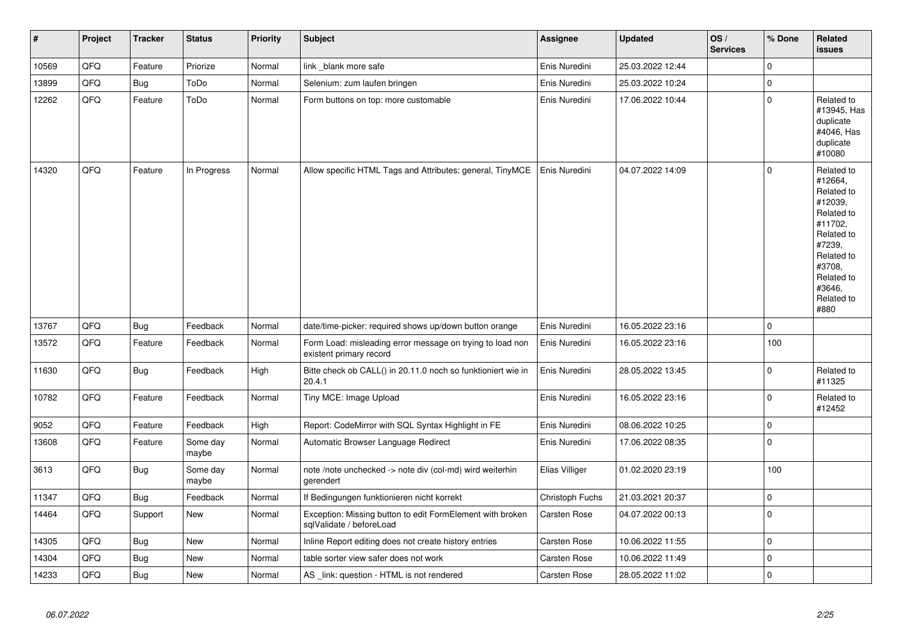| $\vert$ # | Project | <b>Tracker</b> | <b>Status</b>     | Priority | <b>Subject</b>                                                                        | <b>Assignee</b> | <b>Updated</b>   | OS/<br><b>Services</b> | % Done      | Related<br><b>issues</b>                                                                                                                                              |
|-----------|---------|----------------|-------------------|----------|---------------------------------------------------------------------------------------|-----------------|------------------|------------------------|-------------|-----------------------------------------------------------------------------------------------------------------------------------------------------------------------|
| 10569     | QFQ     | Feature        | Priorize          | Normal   | link _blank more safe                                                                 | Enis Nuredini   | 25.03.2022 12:44 |                        | 0           |                                                                                                                                                                       |
| 13899     | QFQ     | <b>Bug</b>     | ToDo              | Normal   | Selenium: zum laufen bringen                                                          | Enis Nuredini   | 25.03.2022 10:24 |                        | $\Omega$    |                                                                                                                                                                       |
| 12262     | QFQ     | Feature        | ToDo              | Normal   | Form buttons on top: more customable                                                  | Enis Nuredini   | 17.06.2022 10:44 |                        | 0           | Related to<br>#13945, Has<br>duplicate<br>#4046, Has<br>duplicate<br>#10080                                                                                           |
| 14320     | QFQ     | Feature        | In Progress       | Normal   | Allow specific HTML Tags and Attributes: general, TinyMCE                             | Enis Nuredini   | 04.07.2022 14:09 |                        | $\Omega$    | Related to<br>#12664,<br>Related to<br>#12039.<br>Related to<br>#11702.<br>Related to<br>#7239,<br>Related to<br>#3708,<br>Related to<br>#3646,<br>Related to<br>#880 |
| 13767     | QFQ     | <b>Bug</b>     | Feedback          | Normal   | date/time-picker: required shows up/down button orange                                | Enis Nuredini   | 16.05.2022 23:16 |                        | $\pmb{0}$   |                                                                                                                                                                       |
| 13572     | QFQ     | Feature        | Feedback          | Normal   | Form Load: misleading error message on trying to load non<br>existent primary record  | Enis Nuredini   | 16.05.2022 23:16 |                        | 100         |                                                                                                                                                                       |
| 11630     | QFQ     | Bug            | Feedback          | High     | Bitte check ob CALL() in 20.11.0 noch so funktioniert wie in<br>20.4.1                | Enis Nuredini   | 28.05.2022 13:45 |                        | 0           | Related to<br>#11325                                                                                                                                                  |
| 10782     | QFQ     | Feature        | Feedback          | Normal   | Tiny MCE: Image Upload                                                                | Enis Nuredini   | 16.05.2022 23:16 |                        | $\Omega$    | Related to<br>#12452                                                                                                                                                  |
| 9052      | QFQ     | Feature        | Feedback          | High     | Report: CodeMirror with SQL Syntax Highlight in FE                                    | Enis Nuredini   | 08.06.2022 10:25 |                        | $\mathbf 0$ |                                                                                                                                                                       |
| 13608     | QFQ     | Feature        | Some day<br>maybe | Normal   | Automatic Browser Language Redirect                                                   | Enis Nuredini   | 17.06.2022 08:35 |                        | $\Omega$    |                                                                                                                                                                       |
| 3613      | QFQ     | <b>Bug</b>     | Some day<br>maybe | Normal   | note /note unchecked -> note div (col-md) wird weiterhin<br>gerendert                 | Elias Villiger  | 01.02.2020 23:19 |                        | 100         |                                                                                                                                                                       |
| 11347     | QFQ     | <b>Bug</b>     | Feedback          | Normal   | If Bedingungen funktionieren nicht korrekt                                            | Christoph Fuchs | 21.03.2021 20:37 |                        | 0           |                                                                                                                                                                       |
| 14464     | QFQ     | Support        | New               | Normal   | Exception: Missing button to edit FormElement with broken<br>sqlValidate / beforeLoad | Carsten Rose    | 04.07.2022 00:13 |                        | 0           |                                                                                                                                                                       |
| 14305     | QFQ     | Bug            | New               | Normal   | Inline Report editing does not create history entries                                 | Carsten Rose    | 10.06.2022 11:55 |                        | $\Omega$    |                                                                                                                                                                       |
| 14304     | QFQ     | <b>Bug</b>     | New               | Normal   | table sorter view safer does not work                                                 | Carsten Rose    | 10.06.2022 11:49 |                        | $\mathbf 0$ |                                                                                                                                                                       |
| 14233     | QFQ     | Bug            | New               | Normal   | AS link: question - HTML is not rendered                                              | Carsten Rose    | 28.05.2022 11:02 |                        | $\Omega$    |                                                                                                                                                                       |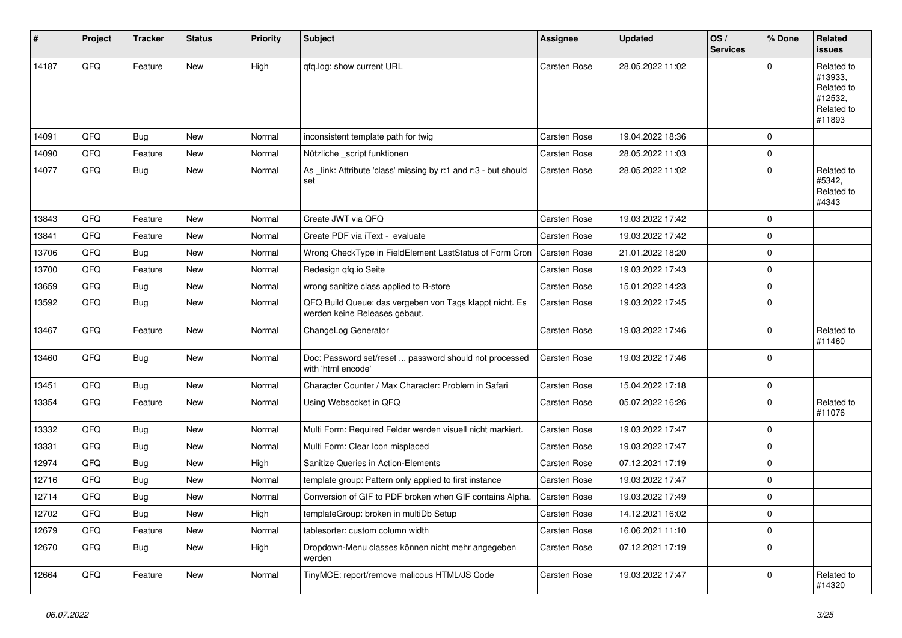| #     | Project | <b>Tracker</b> | <b>Status</b> | <b>Priority</b> | Subject                                                                                  | <b>Assignee</b>     | <b>Updated</b>   | OS/<br><b>Services</b> | % Done      | Related<br>issues                                                      |
|-------|---------|----------------|---------------|-----------------|------------------------------------------------------------------------------------------|---------------------|------------------|------------------------|-------------|------------------------------------------------------------------------|
| 14187 | QFQ     | Feature        | New           | High            | gfg.log: show current URL                                                                | Carsten Rose        | 28.05.2022 11:02 |                        | $\Omega$    | Related to<br>#13933,<br>Related to<br>#12532,<br>Related to<br>#11893 |
| 14091 | QFQ     | <b>Bug</b>     | <b>New</b>    | Normal          | inconsistent template path for twig                                                      | Carsten Rose        | 19.04.2022 18:36 |                        | $\Omega$    |                                                                        |
| 14090 | QFQ     | Feature        | New           | Normal          | Nützliche _script funktionen                                                             | Carsten Rose        | 28.05.2022 11:03 |                        | $\Omega$    |                                                                        |
| 14077 | QFQ     | Bug            | New           | Normal          | As _link: Attribute 'class' missing by r:1 and r:3 - but should<br>set                   | Carsten Rose        | 28.05.2022 11:02 |                        | $\Omega$    | Related to<br>#5342,<br>Related to<br>#4343                            |
| 13843 | QFQ     | Feature        | New           | Normal          | Create JWT via QFQ                                                                       | Carsten Rose        | 19.03.2022 17:42 |                        | $\Omega$    |                                                                        |
| 13841 | QFQ     | Feature        | New           | Normal          | Create PDF via iText - evaluate                                                          | Carsten Rose        | 19.03.2022 17:42 |                        | $\Omega$    |                                                                        |
| 13706 | QFQ     | <b>Bug</b>     | New           | Normal          | Wrong CheckType in FieldElement LastStatus of Form Cron                                  | Carsten Rose        | 21.01.2022 18:20 |                        | $\Omega$    |                                                                        |
| 13700 | QFQ     | Feature        | New           | Normal          | Redesign qfq.io Seite                                                                    | Carsten Rose        | 19.03.2022 17:43 |                        | $\Omega$    |                                                                        |
| 13659 | QFQ     | Bug            | New           | Normal          | wrong sanitize class applied to R-store                                                  | Carsten Rose        | 15.01.2022 14:23 |                        | $\Omega$    |                                                                        |
| 13592 | QFQ     | <b>Bug</b>     | New           | Normal          | QFQ Build Queue: das vergeben von Tags klappt nicht. Es<br>werden keine Releases gebaut. | Carsten Rose        | 19.03.2022 17:45 |                        | $\Omega$    |                                                                        |
| 13467 | QFQ     | Feature        | New           | Normal          | ChangeLog Generator                                                                      | Carsten Rose        | 19.03.2022 17:46 |                        | $\Omega$    | Related to<br>#11460                                                   |
| 13460 | QFQ     | Bug            | New           | Normal          | Doc: Password set/reset  password should not processed<br>with 'html encode'             | Carsten Rose        | 19.03.2022 17:46 |                        | $\Omega$    |                                                                        |
| 13451 | QFQ     | Bug            | New           | Normal          | Character Counter / Max Character: Problem in Safari                                     | Carsten Rose        | 15.04.2022 17:18 |                        | $\mathbf 0$ |                                                                        |
| 13354 | QFQ     | Feature        | New           | Normal          | Using Websocket in QFQ                                                                   | Carsten Rose        | 05.07.2022 16:26 |                        | $\Omega$    | Related to<br>#11076                                                   |
| 13332 | QFQ     | <b>Bug</b>     | <b>New</b>    | Normal          | Multi Form: Required Felder werden visuell nicht markiert.                               | Carsten Rose        | 19.03.2022 17:47 |                        | $\Omega$    |                                                                        |
| 13331 | QFQ     | <b>Bug</b>     | New           | Normal          | Multi Form: Clear Icon misplaced                                                         | Carsten Rose        | 19.03.2022 17:47 |                        | $\Omega$    |                                                                        |
| 12974 | QFQ     | <b>Bug</b>     | New           | High            | Sanitize Queries in Action-Elements                                                      | Carsten Rose        | 07.12.2021 17:19 |                        | $\Omega$    |                                                                        |
| 12716 | QFQ     | <b>Bug</b>     | New           | Normal          | template group: Pattern only applied to first instance                                   | Carsten Rose        | 19.03.2022 17:47 |                        | $\Omega$    |                                                                        |
| 12714 | QFQ     | Bug            | New           | Normal          | Conversion of GIF to PDF broken when GIF contains Alpha.                                 | <b>Carsten Rose</b> | 19.03.2022 17:49 |                        | $\Omega$    |                                                                        |
| 12702 | QFQ     | Bug            | New           | High            | templateGroup: broken in multiDb Setup                                                   | Carsten Rose        | 14.12.2021 16:02 |                        | 0           |                                                                        |
| 12679 | QFQ     | Feature        | New           | Normal          | tablesorter: custom column width                                                         | Carsten Rose        | 16.06.2021 11:10 |                        | 0           |                                                                        |
| 12670 | QFQ     | Bug            | New           | High            | Dropdown-Menu classes können nicht mehr angegeben<br>werden                              | Carsten Rose        | 07.12.2021 17:19 |                        | $\mathbf 0$ |                                                                        |
| 12664 | QFQ     | Feature        | New           | Normal          | TinyMCE: report/remove malicous HTML/JS Code                                             | Carsten Rose        | 19.03.2022 17:47 |                        | $\mathbf 0$ | Related to<br>#14320                                                   |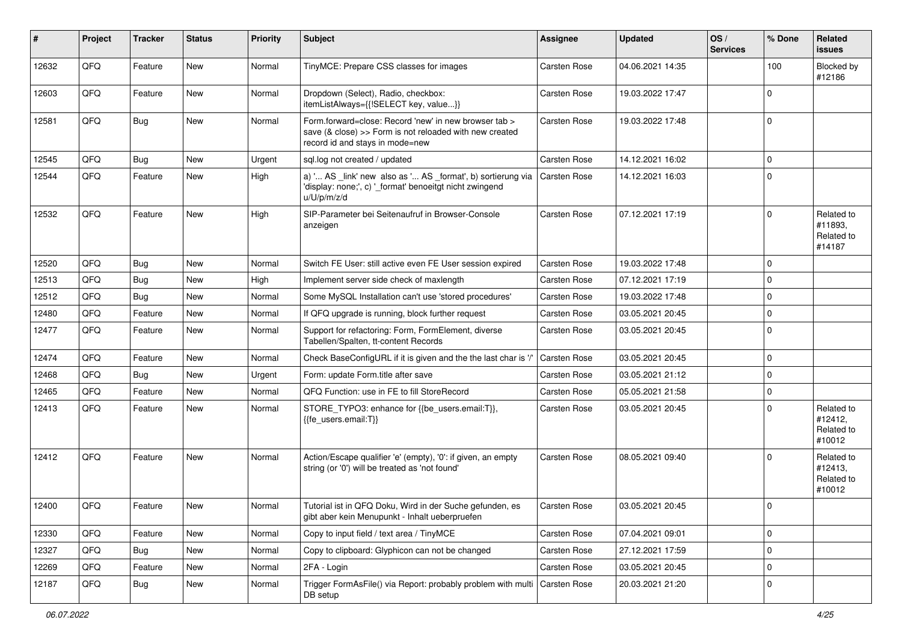| #     | Project | <b>Tracker</b> | <b>Status</b> | <b>Priority</b> | <b>Subject</b>                                                                                                                                      | <b>Assignee</b> | <b>Updated</b>   | OS/<br><b>Services</b> | % Done      | Related<br><b>issues</b>                      |
|-------|---------|----------------|---------------|-----------------|-----------------------------------------------------------------------------------------------------------------------------------------------------|-----------------|------------------|------------------------|-------------|-----------------------------------------------|
| 12632 | QFQ     | Feature        | New           | Normal          | TinyMCE: Prepare CSS classes for images                                                                                                             | Carsten Rose    | 04.06.2021 14:35 |                        | 100         | Blocked by<br>#12186                          |
| 12603 | QFQ     | Feature        | New           | Normal          | Dropdown (Select), Radio, checkbox:<br>itemListAlways={{!SELECT key, value}}                                                                        | Carsten Rose    | 19.03.2022 17:47 |                        | $\mathbf 0$ |                                               |
| 12581 | QFQ     | <b>Bug</b>     | New           | Normal          | Form.forward=close: Record 'new' in new browser tab ><br>save (& close) >> Form is not reloaded with new created<br>record id and stays in mode=new | Carsten Rose    | 19.03.2022 17:48 |                        | $\mathbf 0$ |                                               |
| 12545 | QFQ     | <b>Bug</b>     | New           | Urgent          | sql.log not created / updated                                                                                                                       | Carsten Rose    | 14.12.2021 16:02 |                        | $\mathbf 0$ |                                               |
| 12544 | QFQ     | Feature        | New           | High            | a) ' AS _link' new also as ' AS _format', b) sortierung via<br>'display: none;', c) ' format' benoeitgt nicht zwingend<br>u/U/p/m/z/d               | Carsten Rose    | 14.12.2021 16:03 |                        | $\mathbf 0$ |                                               |
| 12532 | QFQ     | Feature        | New           | High            | SIP-Parameter bei Seitenaufruf in Browser-Console<br>anzeigen                                                                                       | Carsten Rose    | 07.12.2021 17:19 |                        | $\mathbf 0$ | Related to<br>#11893,<br>Related to<br>#14187 |
| 12520 | QFQ     | <b>Bug</b>     | New           | Normal          | Switch FE User: still active even FE User session expired                                                                                           | Carsten Rose    | 19.03.2022 17:48 |                        | $\mathbf 0$ |                                               |
| 12513 | QFQ     | <b>Bug</b>     | New           | High            | Implement server side check of maxlength                                                                                                            | Carsten Rose    | 07.12.2021 17:19 |                        | $\Omega$    |                                               |
| 12512 | QFQ     | Bug            | New           | Normal          | Some MySQL Installation can't use 'stored procedures'                                                                                               | Carsten Rose    | 19.03.2022 17:48 |                        | $\mathbf 0$ |                                               |
| 12480 | QFG     | Feature        | New           | Normal          | If QFQ upgrade is running, block further request                                                                                                    | Carsten Rose    | 03.05.2021 20:45 |                        | $\mathbf 0$ |                                               |
| 12477 | QFQ     | Feature        | New           | Normal          | Support for refactoring: Form, FormElement, diverse<br>Tabellen/Spalten, tt-content Records                                                         | Carsten Rose    | 03.05.2021 20:45 |                        | $\Omega$    |                                               |
| 12474 | QFQ     | Feature        | New           | Normal          | Check BaseConfigURL if it is given and the the last char is '/'                                                                                     | Carsten Rose    | 03.05.2021 20:45 |                        | $\mathbf 0$ |                                               |
| 12468 | QFQ     | <b>Bug</b>     | New           | Urgent          | Form: update Form.title after save                                                                                                                  | Carsten Rose    | 03.05.2021 21:12 |                        | $\mathbf 0$ |                                               |
| 12465 | QFQ     | Feature        | New           | Normal          | QFQ Function: use in FE to fill StoreRecord                                                                                                         | Carsten Rose    | 05.05.2021 21:58 |                        | $\pmb{0}$   |                                               |
| 12413 | QFQ     | Feature        | New           | Normal          | STORE_TYPO3: enhance for {{be_users.email:T}},<br>{{fe_users.email:T}}                                                                              | Carsten Rose    | 03.05.2021 20:45 |                        | $\mathbf 0$ | Related to<br>#12412,<br>Related to<br>#10012 |
| 12412 | QFQ     | Feature        | New           | Normal          | Action/Escape qualifier 'e' (empty), '0': if given, an empty<br>string (or '0') will be treated as 'not found'                                      | Carsten Rose    | 08.05.2021 09:40 |                        | $\mathbf 0$ | Related to<br>#12413,<br>Related to<br>#10012 |
| 12400 | QFQ     | Feature        | New           | Normal          | Tutorial ist in QFQ Doku, Wird in der Suche gefunden, es<br>gibt aber kein Menupunkt - Inhalt ueberpruefen                                          | Carsten Rose    | 03.05.2021 20:45 |                        | $\mathbf 0$ |                                               |
| 12330 | QFQ     | Feature        | New           | Normal          | Copy to input field / text area / TinyMCE                                                                                                           | Carsten Rose    | 07.04.2021 09:01 |                        | $\pmb{0}$   |                                               |
| 12327 | QFQ     | <b>Bug</b>     | New           | Normal          | Copy to clipboard: Glyphicon can not be changed                                                                                                     | Carsten Rose    | 27.12.2021 17:59 |                        | $\pmb{0}$   |                                               |
| 12269 | QFQ     | Feature        | New           | Normal          | 2FA - Login                                                                                                                                         | Carsten Rose    | 03.05.2021 20:45 |                        | $\pmb{0}$   |                                               |
| 12187 | QFQ     | <b>Bug</b>     | New           | Normal          | Trigger FormAsFile() via Report: probably problem with multi<br>DB setup                                                                            | Carsten Rose    | 20.03.2021 21:20 |                        | $\pmb{0}$   |                                               |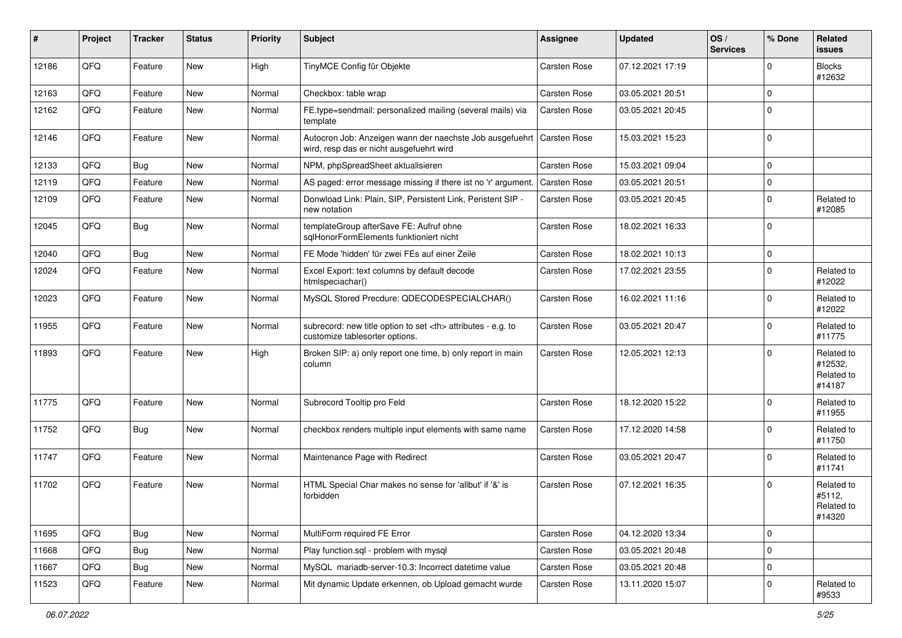| #     | Project | <b>Tracker</b> | <b>Status</b> | <b>Priority</b> | <b>Subject</b>                                                                                       | <b>Assignee</b>                                        | <b>Updated</b>   | OS/<br><b>Services</b> | % Done      | Related<br>issues                             |                      |
|-------|---------|----------------|---------------|-----------------|------------------------------------------------------------------------------------------------------|--------------------------------------------------------|------------------|------------------------|-------------|-----------------------------------------------|----------------------|
| 12186 | QFQ     | Feature        | New           | High            | TinyMCE Config für Objekte                                                                           | Carsten Rose                                           | 07.12.2021 17:19 |                        | $\Omega$    | <b>Blocks</b><br>#12632                       |                      |
| 12163 | QFQ     | Feature        | New           | Normal          | Checkbox: table wrap                                                                                 | Carsten Rose                                           | 03.05.2021 20:51 |                        | $\Omega$    |                                               |                      |
| 12162 | QFQ     | Feature        | New           | Normal          | FE.type=sendmail: personalized mailing (several mails) via<br>template                               | <b>Carsten Rose</b>                                    | 03.05.2021 20:45 |                        | $\Omega$    |                                               |                      |
| 12146 | QFQ     | Feature        | New           | Normal          | Autocron Job: Anzeigen wann der naechste Job ausgefuehrt<br>wird, resp das er nicht ausgefuehrt wird | <b>Carsten Rose</b>                                    | 15.03.2021 15:23 |                        | $\Omega$    |                                               |                      |
| 12133 | QFQ     | Bug            | New           | Normal          | NPM, phpSpreadSheet aktualisieren                                                                    | Carsten Rose                                           | 15.03.2021 09:04 |                        | $\Omega$    |                                               |                      |
| 12119 | QFQ     | Feature        | New           | Normal          | AS paged: error message missing if there ist no 'r' argument.                                        | <b>Carsten Rose</b>                                    | 03.05.2021 20:51 |                        | $\Omega$    |                                               |                      |
| 12109 | QFQ     | Feature        | New           | Normal          | Donwload Link: Plain, SIP, Persistent Link, Peristent SIP -<br>new notation                          | Carsten Rose                                           | 03.05.2021 20:45 |                        | $\Omega$    | Related to<br>#12085                          |                      |
| 12045 | QFQ     | <b>Bug</b>     | New           | Normal          | templateGroup afterSave FE: Aufruf ohne<br>sglHonorFormElements funktioniert nicht                   | Carsten Rose                                           | 18.02.2021 16:33 |                        | $\Omega$    |                                               |                      |
| 12040 | QFQ     | <b>Bug</b>     | New           | Normal          | FE Mode 'hidden' für zwei FEs auf einer Zeile                                                        | Carsten Rose                                           | 18.02.2021 10:13 |                        | $\Omega$    |                                               |                      |
| 12024 | QFQ     | Feature        | New           | Normal          | Excel Export: text columns by default decode<br>htmlspeciachar()                                     | Carsten Rose                                           | 17.02.2021 23:55 |                        | $\Omega$    | Related to<br>#12022                          |                      |
| 12023 | QFQ     | Feature        | New           | Normal          | MySQL Stored Precdure: QDECODESPECIALCHAR()                                                          | Carsten Rose                                           | 16.02.2021 11:16 |                        | $\Omega$    | Related to<br>#12022                          |                      |
| 11955 | QFQ     | Feature        | New           | Normal          | subrecord: new title option to set <th> attributes - e.g. to<br/>customize tablesorter options.</th> | attributes - e.g. to<br>customize tablesorter options. | Carsten Rose     | 03.05.2021 20:47       |             | $\Omega$                                      | Related to<br>#11775 |
| 11893 | QFQ     | Feature        | New           | High            | Broken SIP: a) only report one time, b) only report in main<br>column                                | Carsten Rose                                           | 12.05.2021 12:13 |                        | $\Omega$    | Related to<br>#12532,<br>Related to<br>#14187 |                      |
| 11775 | QFQ     | Feature        | New           | Normal          | Subrecord Tooltip pro Feld                                                                           | Carsten Rose                                           | 18.12.2020 15:22 |                        | $\Omega$    | Related to<br>#11955                          |                      |
| 11752 | QFQ     | <b>Bug</b>     | New           | Normal          | checkbox renders multiple input elements with same name                                              | Carsten Rose                                           | 17.12.2020 14:58 |                        | $\Omega$    | Related to<br>#11750                          |                      |
| 11747 | QFQ     | Feature        | New           | Normal          | Maintenance Page with Redirect                                                                       | Carsten Rose                                           | 03.05.2021 20:47 |                        | $\Omega$    | Related to<br>#11741                          |                      |
| 11702 | QFQ     | Feature        | New           | Normal          | HTML Special Char makes no sense for 'allbut' if '&' is<br>forbidden                                 | Carsten Rose                                           | 07.12.2021 16:35 |                        | $\Omega$    | Related to<br>#5112,<br>Related to<br>#14320  |                      |
| 11695 | QFQ     | <b>Bug</b>     | New           | Normal          | MultiForm required FE Error                                                                          | Carsten Rose                                           | 04.12.2020 13:34 |                        | 0           |                                               |                      |
| 11668 | QFQ     | Bug            | New           | Normal          | Play function.sql - problem with mysql                                                               | Carsten Rose                                           | 03.05.2021 20:48 |                        | $\mathbf 0$ |                                               |                      |
| 11667 | QFQ     | <b>Bug</b>     | New           | Normal          | MySQL mariadb-server-10.3: Incorrect datetime value                                                  | Carsten Rose                                           | 03.05.2021 20:48 |                        | 0           |                                               |                      |
| 11523 | QFQ     | Feature        | New           | Normal          | Mit dynamic Update erkennen, ob Upload gemacht wurde                                                 | Carsten Rose                                           | 13.11.2020 15:07 |                        | 0           | Related to<br>#9533                           |                      |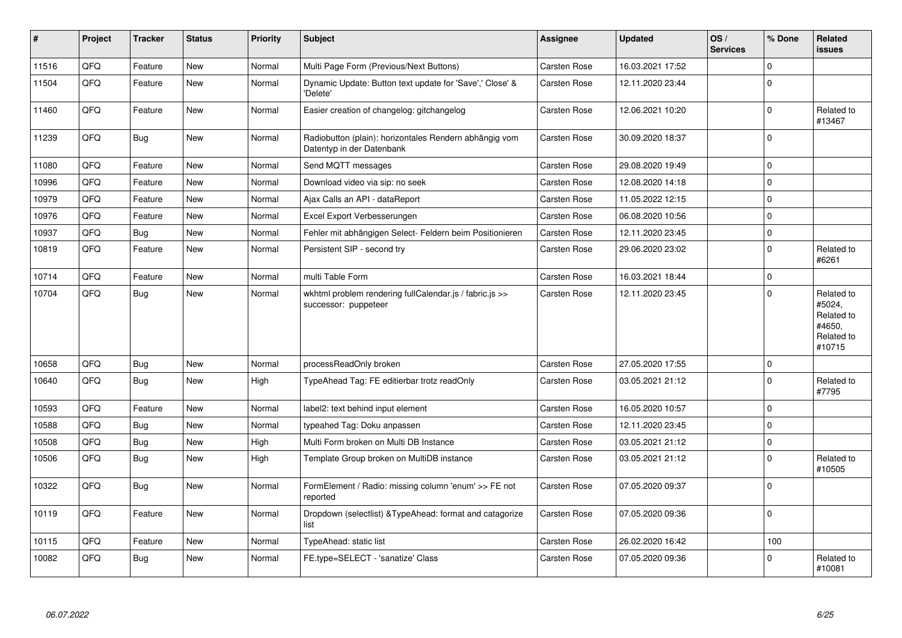| $\pmb{\sharp}$ | Project | <b>Tracker</b> | <b>Status</b> | <b>Priority</b> | <b>Subject</b>                                                                      | <b>Assignee</b>     | <b>Updated</b>   | OS/<br><b>Services</b> | % Done      | Related<br>issues                                                    |
|----------------|---------|----------------|---------------|-----------------|-------------------------------------------------------------------------------------|---------------------|------------------|------------------------|-------------|----------------------------------------------------------------------|
| 11516          | QFQ     | Feature        | <b>New</b>    | Normal          | Multi Page Form (Previous/Next Buttons)                                             | Carsten Rose        | 16.03.2021 17:52 |                        | $\Omega$    |                                                                      |
| 11504          | QFQ     | Feature        | New           | Normal          | Dynamic Update: Button text update for 'Save',' Close' &<br>'Delete'                | Carsten Rose        | 12.11.2020 23:44 |                        | $\Omega$    |                                                                      |
| 11460          | QFQ     | Feature        | New           | Normal          | Easier creation of changelog: gitchangelog                                          | Carsten Rose        | 12.06.2021 10:20 |                        | $\Omega$    | Related to<br>#13467                                                 |
| 11239          | QFQ     | <b>Bug</b>     | New           | Normal          | Radiobutton (plain): horizontales Rendern abhängig vom<br>Datentyp in der Datenbank | Carsten Rose        | 30.09.2020 18:37 |                        | $\Omega$    |                                                                      |
| 11080          | QFQ     | Feature        | New           | Normal          | Send MQTT messages                                                                  | Carsten Rose        | 29.08.2020 19:49 |                        | 0           |                                                                      |
| 10996          | QFQ     | Feature        | New           | Normal          | Download video via sip: no seek                                                     | Carsten Rose        | 12.08.2020 14:18 |                        | $\Omega$    |                                                                      |
| 10979          | QFQ     | Feature        | New           | Normal          | Ajax Calls an API - dataReport                                                      | Carsten Rose        | 11.05.2022 12:15 |                        | $\Omega$    |                                                                      |
| 10976          | QFQ     | Feature        | New           | Normal          | Excel Export Verbesserungen                                                         | Carsten Rose        | 06.08.2020 10:56 |                        | 0           |                                                                      |
| 10937          | QFQ     | Bug            | New           | Normal          | Fehler mit abhängigen Select- Feldern beim Positionieren                            | Carsten Rose        | 12.11.2020 23:45 |                        | $\Omega$    |                                                                      |
| 10819          | QFQ     | Feature        | New           | Normal          | Persistent SIP - second try                                                         | Carsten Rose        | 29.06.2020 23:02 |                        | $\Omega$    | Related to<br>#6261                                                  |
| 10714          | QFQ     | Feature        | New           | Normal          | multi Table Form                                                                    | Carsten Rose        | 16.03.2021 18:44 |                        | $\Omega$    |                                                                      |
| 10704          | QFQ     | <b>Bug</b>     | New           | Normal          | wkhtml problem rendering fullCalendar.js / fabric.js >><br>successor: puppeteer     | Carsten Rose        | 12.11.2020 23:45 |                        | $\Omega$    | Related to<br>#5024,<br>Related to<br>#4650,<br>Related to<br>#10715 |
| 10658          | QFQ     | Bug            | <b>New</b>    | Normal          | processReadOnly broken                                                              | <b>Carsten Rose</b> | 27.05.2020 17:55 |                        | $\Omega$    |                                                                      |
| 10640          | QFQ     | Bug            | New           | High            | TypeAhead Tag: FE editierbar trotz readOnly                                         | Carsten Rose        | 03.05.2021 21:12 |                        | $\Omega$    | Related to<br>#7795                                                  |
| 10593          | QFQ     | Feature        | <b>New</b>    | Normal          | label2: text behind input element                                                   | Carsten Rose        | 16.05.2020 10:57 |                        | $\Omega$    |                                                                      |
| 10588          | QFQ     | <b>Bug</b>     | New           | Normal          | typeahed Tag: Doku anpassen                                                         | Carsten Rose        | 12.11.2020 23:45 |                        | $\Omega$    |                                                                      |
| 10508          | QFQ     | <b>Bug</b>     | New           | High            | Multi Form broken on Multi DB Instance                                              | Carsten Rose        | 03.05.2021 21:12 |                        | $\Omega$    |                                                                      |
| 10506          | QFQ     | <b>Bug</b>     | New           | High            | Template Group broken on MultiDB instance                                           | Carsten Rose        | 03.05.2021 21:12 |                        | $\mathbf 0$ | Related to<br>#10505                                                 |
| 10322          | QFQ     | <b>Bug</b>     | New           | Normal          | FormElement / Radio: missing column 'enum' >> FE not<br>reported                    | Carsten Rose        | 07.05.2020 09:37 |                        | $\Omega$    |                                                                      |
| 10119          | QFQ     | Feature        | New           | Normal          | Dropdown (selectlist) & TypeAhead: format and catagorize<br>list                    | Carsten Rose        | 07.05.2020 09:36 |                        | $\Omega$    |                                                                      |
| 10115          | QFQ     | Feature        | New           | Normal          | TypeAhead: static list                                                              | Carsten Rose        | 26.02.2020 16:42 |                        | 100         |                                                                      |
| 10082          | QFQ     | Bug            | <b>New</b>    | Normal          | FE.type=SELECT - 'sanatize' Class                                                   | Carsten Rose        | 07.05.2020 09:36 |                        | $\Omega$    | Related to<br>#10081                                                 |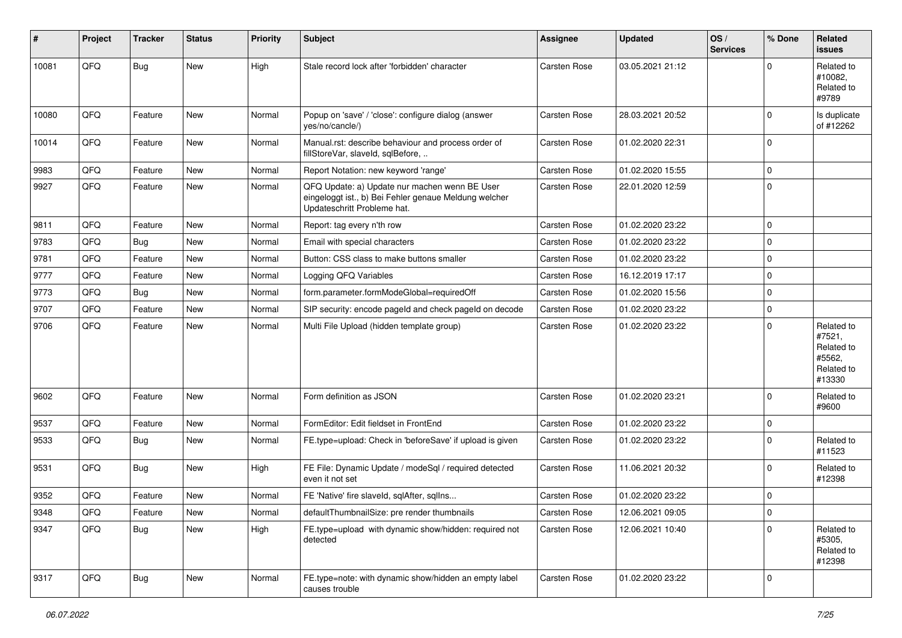| #     | Project | <b>Tracker</b> | <b>Status</b> | <b>Priority</b> | <b>Subject</b>                                                                                                                        | <b>Assignee</b>     | <b>Updated</b>   | OS/<br><b>Services</b> | % Done      | Related<br>issues                                                    |
|-------|---------|----------------|---------------|-----------------|---------------------------------------------------------------------------------------------------------------------------------------|---------------------|------------------|------------------------|-------------|----------------------------------------------------------------------|
| 10081 | QFQ     | Bug            | New           | High            | Stale record lock after 'forbidden' character                                                                                         | <b>Carsten Rose</b> | 03.05.2021 21:12 |                        | $\Omega$    | Related to<br>#10082.<br>Related to<br>#9789                         |
| 10080 | QFQ     | Feature        | New           | Normal          | Popup on 'save' / 'close': configure dialog (answer<br>yes/no/cancle/)                                                                | <b>Carsten Rose</b> | 28.03.2021 20:52 |                        | $\mathbf 0$ | Is duplicate<br>of #12262                                            |
| 10014 | QFQ     | Feature        | New           | Normal          | Manual.rst: describe behaviour and process order of<br>fillStoreVar, slaveId, sqlBefore,                                              | Carsten Rose        | 01.02.2020 22:31 |                        | $\mathbf 0$ |                                                                      |
| 9983  | QFQ     | Feature        | New           | Normal          | Report Notation: new keyword 'range'                                                                                                  | <b>Carsten Rose</b> | 01.02.2020 15:55 |                        | $\pmb{0}$   |                                                                      |
| 9927  | QFQ     | Feature        | New           | Normal          | QFQ Update: a) Update nur machen wenn BE User<br>eingeloggt ist., b) Bei Fehler genaue Meldung welcher<br>Updateschritt Probleme hat. | <b>Carsten Rose</b> | 22.01.2020 12:59 |                        | $\mathbf 0$ |                                                                      |
| 9811  | QFQ     | Feature        | New           | Normal          | Report: tag every n'th row                                                                                                            | Carsten Rose        | 01.02.2020 23:22 |                        | $\mathbf 0$ |                                                                      |
| 9783  | QFQ     | <b>Bug</b>     | New           | Normal          | Email with special characters                                                                                                         | Carsten Rose        | 01.02.2020 23:22 |                        | $\pmb{0}$   |                                                                      |
| 9781  | QFQ     | Feature        | New           | Normal          | Button: CSS class to make buttons smaller                                                                                             | <b>Carsten Rose</b> | 01.02.2020 23:22 |                        | $\mathbf 0$ |                                                                      |
| 9777  | QFQ     | Feature        | New           | Normal          | Logging QFQ Variables                                                                                                                 | <b>Carsten Rose</b> | 16.12.2019 17:17 |                        | $\pmb{0}$   |                                                                      |
| 9773  | QFQ     | Bug            | New           | Normal          | form.parameter.formModeGlobal=requiredOff                                                                                             | <b>Carsten Rose</b> | 01.02.2020 15:56 |                        | $\pmb{0}$   |                                                                      |
| 9707  | QFQ     | Feature        | New           | Normal          | SIP security: encode pageId and check pageId on decode                                                                                | <b>Carsten Rose</b> | 01.02.2020 23:22 |                        | $\pmb{0}$   |                                                                      |
| 9706  | QFQ     | Feature        | New           | Normal          | Multi File Upload (hidden template group)                                                                                             | <b>Carsten Rose</b> | 01.02.2020 23:22 |                        | $\mathbf 0$ | Related to<br>#7521,<br>Related to<br>#5562,<br>Related to<br>#13330 |
| 9602  | QFQ     | Feature        | New           | Normal          | Form definition as JSON                                                                                                               | <b>Carsten Rose</b> | 01.02.2020 23:21 |                        | $\mathbf 0$ | Related to<br>#9600                                                  |
| 9537  | QFQ     | Feature        | New           | Normal          | FormEditor: Edit fieldset in FrontEnd                                                                                                 | Carsten Rose        | 01.02.2020 23:22 |                        | $\mathbf 0$ |                                                                      |
| 9533  | QFQ     | <b>Bug</b>     | New           | Normal          | FE.type=upload: Check in 'beforeSave' if upload is given                                                                              | <b>Carsten Rose</b> | 01.02.2020 23:22 |                        | $\mathbf 0$ | Related to<br>#11523                                                 |
| 9531  | QFQ     | <b>Bug</b>     | New           | High            | FE File: Dynamic Update / modeSql / required detected<br>even it not set                                                              | <b>Carsten Rose</b> | 11.06.2021 20:32 |                        | $\mathbf 0$ | Related to<br>#12398                                                 |
| 9352  | QFQ     | Feature        | New           | Normal          | FE 'Native' fire slaveld, sqlAfter, sqlIns                                                                                            | Carsten Rose        | 01.02.2020 23:22 |                        | $\mathbf 0$ |                                                                      |
| 9348  | QFG     | Feature        | New           | Normal          | defaultThumbnailSize: pre render thumbnails                                                                                           | Carsten Rose        | 12.06.2021 09:05 |                        | 0           |                                                                      |
| 9347  | QFQ     | Bug            | New           | High            | FE.type=upload with dynamic show/hidden: required not<br>detected                                                                     | Carsten Rose        | 12.06.2021 10:40 |                        | $\Omega$    | Related to<br>#5305,<br>Related to<br>#12398                         |
| 9317  | QFQ     | <b>Bug</b>     | New           | Normal          | FE.type=note: with dynamic show/hidden an empty label<br>causes trouble                                                               | Carsten Rose        | 01.02.2020 23:22 |                        | 0           |                                                                      |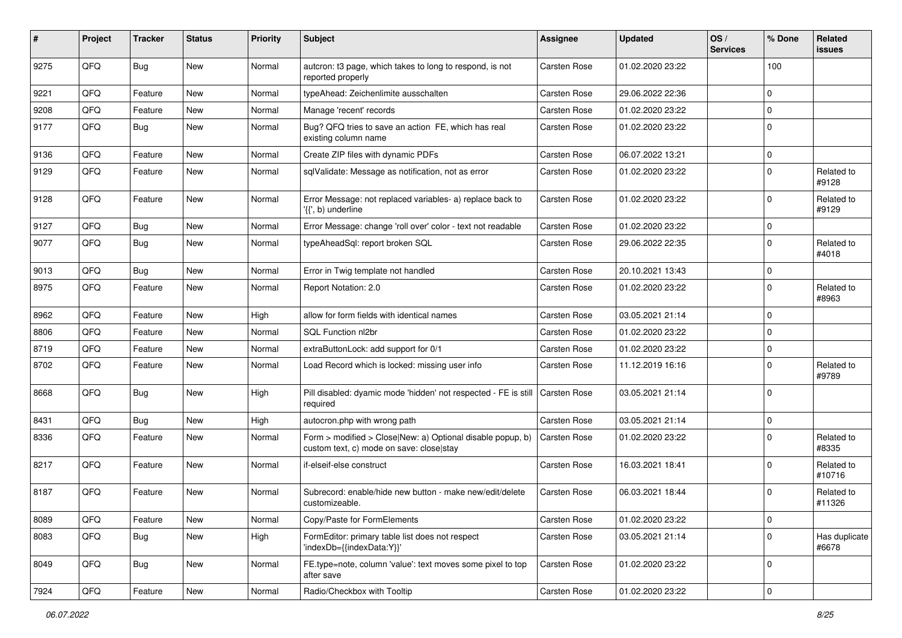| #    | Project | <b>Tracker</b> | <b>Status</b> | <b>Priority</b> | <b>Subject</b>                                                                                         | <b>Assignee</b>     | <b>Updated</b>   | OS/<br><b>Services</b> | % Done      | Related<br>issues      |
|------|---------|----------------|---------------|-----------------|--------------------------------------------------------------------------------------------------------|---------------------|------------------|------------------------|-------------|------------------------|
| 9275 | QFQ     | Bug            | <b>New</b>    | Normal          | autcron: t3 page, which takes to long to respond, is not<br>reported properly                          | <b>Carsten Rose</b> | 01.02.2020 23:22 |                        | 100         |                        |
| 9221 | QFQ     | Feature        | <b>New</b>    | Normal          | typeAhead: Zeichenlimite ausschalten                                                                   | Carsten Rose        | 29.06.2022 22:36 |                        | $\Omega$    |                        |
| 9208 | QFQ     | Feature        | New           | Normal          | Manage 'recent' records                                                                                | Carsten Rose        | 01.02.2020 23:22 |                        | $\Omega$    |                        |
| 9177 | QFQ     | Bug            | <b>New</b>    | Normal          | Bug? QFQ tries to save an action FE, which has real<br>existing column name                            | Carsten Rose        | 01.02.2020 23:22 |                        | $\Omega$    |                        |
| 9136 | QFQ     | Feature        | <b>New</b>    | Normal          | Create ZIP files with dynamic PDFs                                                                     | <b>Carsten Rose</b> | 06.07.2022 13:21 |                        | $\Omega$    |                        |
| 9129 | QFQ     | Feature        | New           | Normal          | sqlValidate: Message as notification, not as error                                                     | Carsten Rose        | 01.02.2020 23:22 |                        | $\Omega$    | Related to<br>#9128    |
| 9128 | QFQ     | Feature        | <b>New</b>    | Normal          | Error Message: not replaced variables- a) replace back to<br>'{{', b) underline                        | <b>Carsten Rose</b> | 01.02.2020 23:22 |                        | $\Omega$    | Related to<br>#9129    |
| 9127 | QFQ     | <b>Bug</b>     | New           | Normal          | Error Message: change 'roll over' color - text not readable                                            | <b>Carsten Rose</b> | 01.02.2020 23:22 |                        | $\Omega$    |                        |
| 9077 | QFQ     | <b>Bug</b>     | <b>New</b>    | Normal          | typeAheadSql: report broken SQL                                                                        | Carsten Rose        | 29.06.2022 22:35 |                        | $\Omega$    | Related to<br>#4018    |
| 9013 | QFQ     | <b>Bug</b>     | <b>New</b>    | Normal          | Error in Twig template not handled                                                                     | Carsten Rose        | 20.10.2021 13:43 |                        | $\Omega$    |                        |
| 8975 | QFQ     | Feature        | New           | Normal          | Report Notation: 2.0                                                                                   | Carsten Rose        | 01.02.2020 23:22 |                        | $\Omega$    | Related to<br>#8963    |
| 8962 | QFQ     | Feature        | <b>New</b>    | High            | allow for form fields with identical names                                                             | Carsten Rose        | 03.05.2021 21:14 |                        | 0           |                        |
| 8806 | QFQ     | Feature        | New           | Normal          | SOL Function nl2br                                                                                     | Carsten Rose        | 01.02.2020 23:22 |                        | $\Omega$    |                        |
| 8719 | QFQ     | Feature        | <b>New</b>    | Normal          | extraButtonLock: add support for 0/1                                                                   | Carsten Rose        | 01.02.2020 23:22 |                        | $\mathbf 0$ |                        |
| 8702 | QFQ     | Feature        | <b>New</b>    | Normal          | Load Record which is locked: missing user info                                                         | Carsten Rose        | 11.12.2019 16:16 |                        | $\Omega$    | Related to<br>#9789    |
| 8668 | QFQ     | <b>Bug</b>     | <b>New</b>    | High            | Pill disabled: dyamic mode 'hidden' not respected - FE is still<br>required                            | <b>Carsten Rose</b> | 03.05.2021 21:14 |                        | $\Omega$    |                        |
| 8431 | QFQ     | <b>Bug</b>     | New           | High            | autocron.php with wrong path                                                                           | Carsten Rose        | 03.05.2021 21:14 |                        | $\Omega$    |                        |
| 8336 | QFQ     | Feature        | <b>New</b>    | Normal          | Form > modified > Close New: a) Optional disable popup, b)<br>custom text, c) mode on save: close stay | Carsten Rose        | 01.02.2020 23:22 |                        | 0           | Related to<br>#8335    |
| 8217 | QFQ     | Feature        | <b>New</b>    | Normal          | if-elseif-else construct                                                                               | Carsten Rose        | 16.03.2021 18:41 |                        | $\Omega$    | Related to<br>#10716   |
| 8187 | QFQ     | Feature        | New           | Normal          | Subrecord: enable/hide new button - make new/edit/delete<br>customizeable.                             | <b>Carsten Rose</b> | 06.03.2021 18:44 |                        | $\Omega$    | Related to<br>#11326   |
| 8089 | QFQ     | Feature        | New           | Normal          | Copy/Paste for FormElements                                                                            | Carsten Rose        | 01.02.2020 23:22 |                        | 0           |                        |
| 8083 | QFQ     | Bug            | New           | High            | FormEditor: primary table list does not respect<br>'indexDb={{indexData:Y}}'                           | Carsten Rose        | 03.05.2021 21:14 |                        | 0           | Has duplicate<br>#6678 |
| 8049 | QFQ     | Bug            | New           | Normal          | FE.type=note, column 'value': text moves some pixel to top<br>after save                               | Carsten Rose        | 01.02.2020 23:22 |                        | 0           |                        |
| 7924 | QFQ     | Feature        | New           | Normal          | Radio/Checkbox with Tooltip                                                                            | Carsten Rose        | 01.02.2020 23:22 |                        | $\pmb{0}$   |                        |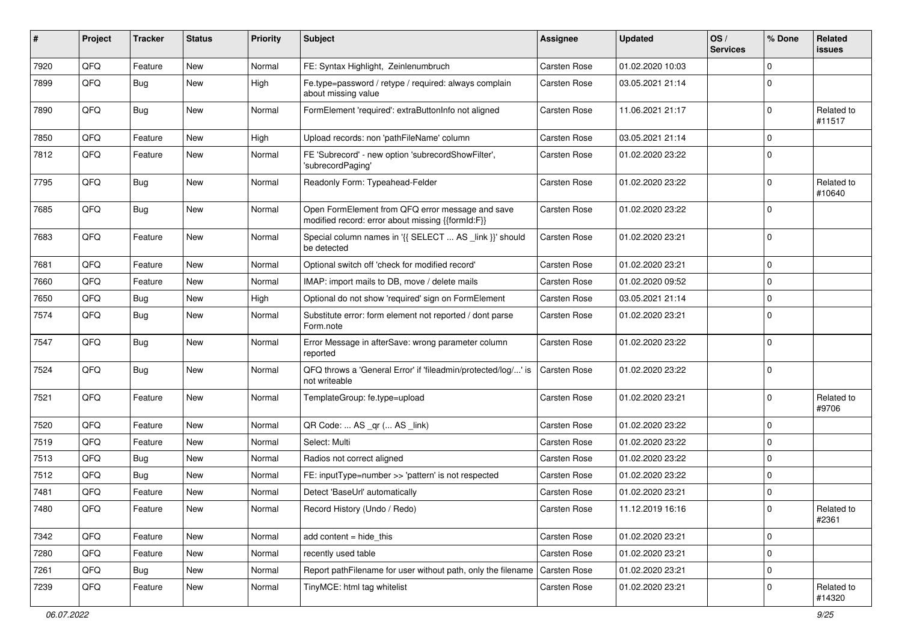| #    | Project | <b>Tracker</b> | <b>Status</b> | <b>Priority</b> | Subject                                                                                               | Assignee            | <b>Updated</b>   | OS/<br><b>Services</b> | % Done      | Related<br>issues    |
|------|---------|----------------|---------------|-----------------|-------------------------------------------------------------------------------------------------------|---------------------|------------------|------------------------|-------------|----------------------|
| 7920 | QFQ     | Feature        | New           | Normal          | FE: Syntax Highlight, Zeinlenumbruch                                                                  | <b>Carsten Rose</b> | 01.02.2020 10:03 |                        | $\Omega$    |                      |
| 7899 | QFQ     | Bug            | New           | High            | Fe.type=password / retype / required: always complain<br>about missing value                          | Carsten Rose        | 03.05.2021 21:14 |                        | $\Omega$    |                      |
| 7890 | QFQ     | <b>Bug</b>     | New           | Normal          | FormElement 'required': extraButtonInfo not aligned                                                   | Carsten Rose        | 11.06.2021 21:17 |                        | $\Omega$    | Related to<br>#11517 |
| 7850 | QFQ     | Feature        | New           | High            | Upload records: non 'pathFileName' column                                                             | Carsten Rose        | 03.05.2021 21:14 |                        | $\mathbf 0$ |                      |
| 7812 | QFQ     | Feature        | New           | Normal          | FE 'Subrecord' - new option 'subrecordShowFilter',<br>'subrecordPaging'                               | Carsten Rose        | 01.02.2020 23:22 |                        | 0           |                      |
| 7795 | QFQ     | Bug            | New           | Normal          | Readonly Form: Typeahead-Felder                                                                       | Carsten Rose        | 01.02.2020 23:22 |                        | $\mathbf 0$ | Related to<br>#10640 |
| 7685 | QFQ     | Bug            | New           | Normal          | Open FormElement from QFQ error message and save<br>modified record: error about missing {{formId:F}} | Carsten Rose        | 01.02.2020 23:22 |                        | $\Omega$    |                      |
| 7683 | QFQ     | Feature        | New           | Normal          | Special column names in '{{ SELECT  AS _link }}' should<br>be detected                                | Carsten Rose        | 01.02.2020 23:21 |                        | $\Omega$    |                      |
| 7681 | QFQ     | Feature        | New           | Normal          | Optional switch off 'check for modified record'                                                       | <b>Carsten Rose</b> | 01.02.2020 23:21 |                        | $\mathbf 0$ |                      |
| 7660 | QFQ     | Feature        | New           | Normal          | IMAP: import mails to DB, move / delete mails                                                         | Carsten Rose        | 01.02.2020 09:52 |                        | 0           |                      |
| 7650 | QFQ     | <b>Bug</b>     | New           | High            | Optional do not show 'required' sign on FormElement                                                   | Carsten Rose        | 03.05.2021 21:14 |                        | $\mathbf 0$ |                      |
| 7574 | QFQ     | <b>Bug</b>     | New           | Normal          | Substitute error: form element not reported / dont parse<br>Form.note                                 | Carsten Rose        | 01.02.2020 23:21 |                        | 0           |                      |
| 7547 | QFQ     | <b>Bug</b>     | New           | Normal          | Error Message in afterSave: wrong parameter column<br>reported                                        | Carsten Rose        | 01.02.2020 23:22 |                        | $\Omega$    |                      |
| 7524 | QFQ     | <b>Bug</b>     | New           | Normal          | QFQ throws a 'General Error' if 'fileadmin/protected/log/' is<br>not writeable                        | Carsten Rose        | 01.02.2020 23:22 |                        | $\Omega$    |                      |
| 7521 | QFQ     | Feature        | New           | Normal          | TemplateGroup: fe.type=upload                                                                         | Carsten Rose        | 01.02.2020 23:21 |                        | $\Omega$    | Related to<br>#9706  |
| 7520 | QFQ     | Feature        | New           | Normal          | QR Code:  AS _qr ( AS _link)                                                                          | <b>Carsten Rose</b> | 01.02.2020 23:22 |                        | 0           |                      |
| 7519 | QFQ     | Feature        | New           | Normal          | Select: Multi                                                                                         | Carsten Rose        | 01.02.2020 23:22 |                        | $\Omega$    |                      |
| 7513 | QFQ     | <b>Bug</b>     | New           | Normal          | Radios not correct aligned                                                                            | Carsten Rose        | 01.02.2020 23:22 |                        | $\mathbf 0$ |                      |
| 7512 | QFQ     | Bug            | New           | Normal          | FE: inputType=number >> 'pattern' is not respected                                                    | Carsten Rose        | 01.02.2020 23:22 |                        | 0           |                      |
| 7481 | QFQ     | Feature        | New           | Normal          | Detect 'BaseUrl' automatically                                                                        | Carsten Rose        | 01.02.2020 23:21 |                        | 0           |                      |
| 7480 | QFQ     | Feature        | New           | Normal          | Record History (Undo / Redo)                                                                          | Carsten Rose        | 11.12.2019 16:16 |                        | $\Omega$    | Related to<br>#2361  |
| 7342 | QFQ     | Feature        | New           | Normal          | add content = hide_this                                                                               | Carsten Rose        | 01.02.2020 23:21 |                        | $\mathbf 0$ |                      |
| 7280 | QFQ     | Feature        | New           | Normal          | recently used table                                                                                   | Carsten Rose        | 01.02.2020 23:21 |                        | $\mathbf 0$ |                      |
| 7261 | QFG     | Bug            | New           | Normal          | Report pathFilename for user without path, only the filename                                          | Carsten Rose        | 01.02.2020 23:21 |                        | $\mathbf 0$ |                      |
| 7239 | QFQ     | Feature        | New           | Normal          | TinyMCE: html tag whitelist                                                                           | Carsten Rose        | 01.02.2020 23:21 |                        | 0           | Related to<br>#14320 |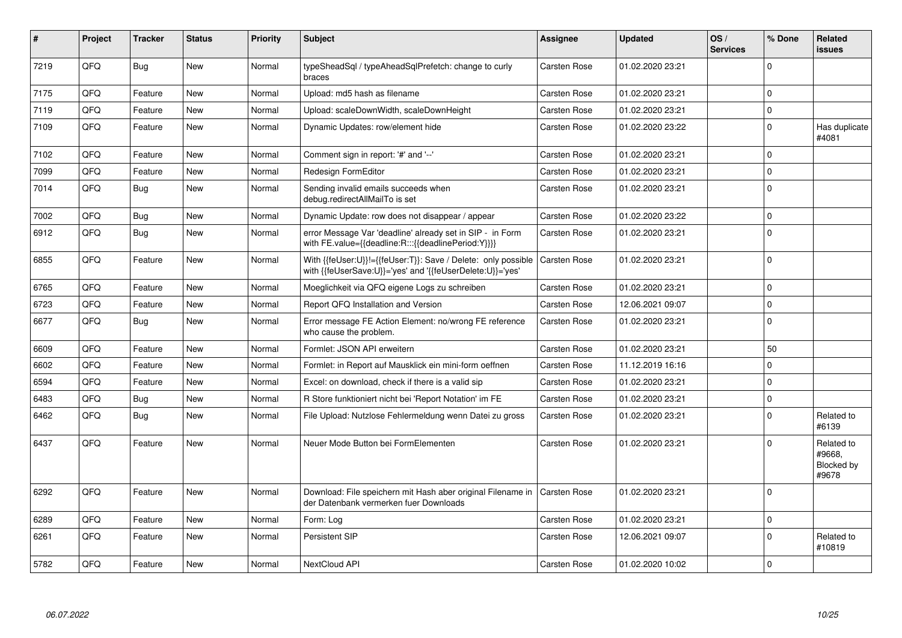| #    | Project | <b>Tracker</b> | <b>Status</b> | <b>Priority</b> | <b>Subject</b>                                                                                                             | <b>Assignee</b>     | <b>Updated</b>   | OS/<br><b>Services</b> | % Done      | Related<br><b>issues</b>                    |
|------|---------|----------------|---------------|-----------------|----------------------------------------------------------------------------------------------------------------------------|---------------------|------------------|------------------------|-------------|---------------------------------------------|
| 7219 | QFQ     | <b>Bug</b>     | <b>New</b>    | Normal          | typeSheadSql / typeAheadSqlPrefetch: change to curly<br>braces                                                             | Carsten Rose        | 01.02.2020 23:21 |                        | $\Omega$    |                                             |
| 7175 | QFQ     | Feature        | <b>New</b>    | Normal          | Upload: md5 hash as filename                                                                                               | Carsten Rose        | 01.02.2020 23:21 |                        | $\mathbf 0$ |                                             |
| 7119 | QFQ     | Feature        | New           | Normal          | Upload: scaleDownWidth, scaleDownHeight                                                                                    | <b>Carsten Rose</b> | 01.02.2020 23:21 |                        | $\mathbf 0$ |                                             |
| 7109 | QFQ     | Feature        | New           | Normal          | Dynamic Updates: row/element hide                                                                                          | Carsten Rose        | 01.02.2020 23:22 |                        | $\pmb{0}$   | Has duplicate<br>#4081                      |
| 7102 | QFQ     | Feature        | New           | Normal          | Comment sign in report: '#' and '--'                                                                                       | Carsten Rose        | 01.02.2020 23:21 |                        | $\Omega$    |                                             |
| 7099 | QFQ     | Feature        | <b>New</b>    | Normal          | <b>Redesign FormEditor</b>                                                                                                 | Carsten Rose        | 01.02.2020 23:21 |                        | $\mathbf 0$ |                                             |
| 7014 | QFQ     | Bug            | New           | Normal          | Sending invalid emails succeeds when<br>debug.redirectAllMailTo is set                                                     | Carsten Rose        | 01.02.2020 23:21 |                        | $\mathbf 0$ |                                             |
| 7002 | QFQ     | Bug            | <b>New</b>    | Normal          | Dynamic Update: row does not disappear / appear                                                                            | <b>Carsten Rose</b> | 01.02.2020 23:22 |                        | $\mathbf 0$ |                                             |
| 6912 | QFQ     | Bug            | New           | Normal          | error Message Var 'deadline' already set in SIP - in Form<br>with FE.value={{deadline:R:::{{deadlinePeriod:Y}}}}           | Carsten Rose        | 01.02.2020 23:21 |                        | $\pmb{0}$   |                                             |
| 6855 | QFQ     | Feature        | New           | Normal          | With {{feUser:U}}!={{feUser:T}}: Save / Delete: only possible<br>with {{feUserSave:U}}='yes' and '{{feUserDelete:U}}='yes' | <b>Carsten Rose</b> | 01.02.2020 23:21 |                        | $\mathbf 0$ |                                             |
| 6765 | QFQ     | Feature        | <b>New</b>    | Normal          | Moeglichkeit via QFQ eigene Logs zu schreiben                                                                              | <b>Carsten Rose</b> | 01.02.2020 23:21 |                        | $\mathbf 0$ |                                             |
| 6723 | QFQ     | Feature        | New           | Normal          | Report QFQ Installation and Version                                                                                        | <b>Carsten Rose</b> | 12.06.2021 09:07 |                        | $\mathbf 0$ |                                             |
| 6677 | QFQ     | Bug            | New           | Normal          | Error message FE Action Element: no/wrong FE reference<br>who cause the problem.                                           | Carsten Rose        | 01.02.2020 23:21 |                        | $\mathbf 0$ |                                             |
| 6609 | QFQ     | Feature        | New           | Normal          | Formlet: JSON API erweitern                                                                                                | Carsten Rose        | 01.02.2020 23:21 |                        | 50          |                                             |
| 6602 | QFQ     | Feature        | New           | Normal          | Formlet: in Report auf Mausklick ein mini-form oeffnen                                                                     | Carsten Rose        | 11.12.2019 16:16 |                        | $\Omega$    |                                             |
| 6594 | QFQ     | Feature        | <b>New</b>    | Normal          | Excel: on download, check if there is a valid sip                                                                          | <b>Carsten Rose</b> | 01.02.2020 23:21 |                        | $\Omega$    |                                             |
| 6483 | QFQ     | Bug            | <b>New</b>    | Normal          | R Store funktioniert nicht bei 'Report Notation' im FE                                                                     | Carsten Rose        | 01.02.2020 23:21 |                        | $\mathbf 0$ |                                             |
| 6462 | QFQ     | <b>Bug</b>     | New           | Normal          | File Upload: Nutzlose Fehlermeldung wenn Datei zu gross                                                                    | Carsten Rose        | 01.02.2020 23:21 |                        | $\Omega$    | Related to<br>#6139                         |
| 6437 | QFQ     | Feature        | New           | Normal          | Neuer Mode Button bei FormElementen                                                                                        | Carsten Rose        | 01.02.2020 23:21 |                        | $\Omega$    | Related to<br>#9668,<br>Blocked by<br>#9678 |
| 6292 | QFQ     | Feature        | New           | Normal          | Download: File speichern mit Hash aber original Filename in<br>der Datenbank vermerken fuer Downloads                      | Carsten Rose        | 01.02.2020 23:21 |                        | $\mathbf 0$ |                                             |
| 6289 | QFQ     | Feature        | <b>New</b>    | Normal          | Form: Log                                                                                                                  | <b>Carsten Rose</b> | 01.02.2020 23:21 |                        | $\mathbf 0$ |                                             |
| 6261 | QFQ     | Feature        | New           | Normal          | Persistent SIP                                                                                                             | Carsten Rose        | 12.06.2021 09:07 |                        | $\Omega$    | Related to<br>#10819                        |
| 5782 | QFQ     | Feature        | New           | Normal          | NextCloud API                                                                                                              | <b>Carsten Rose</b> | 01.02.2020 10:02 |                        | $\mathbf 0$ |                                             |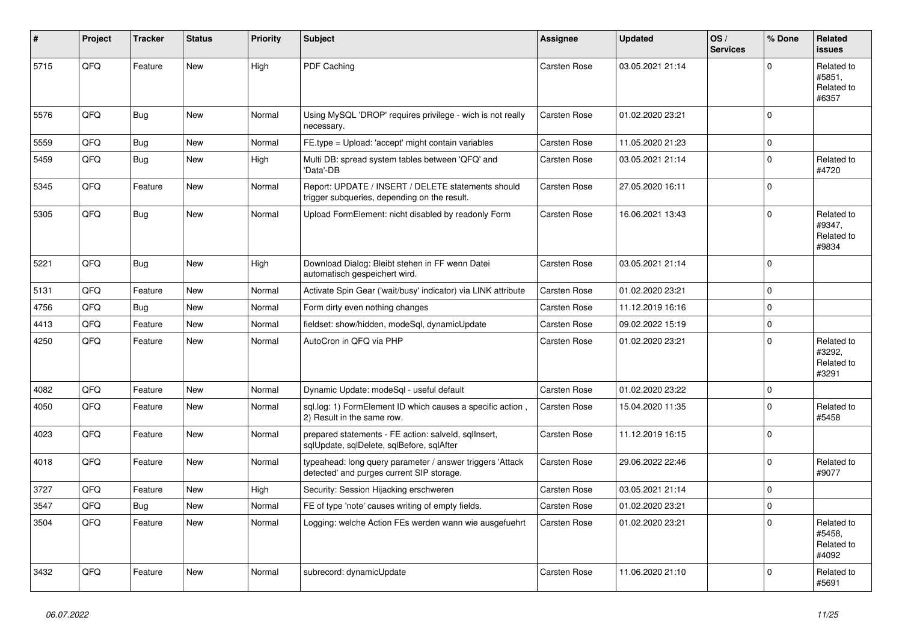| $\vert$ # | Project | <b>Tracker</b> | <b>Status</b> | <b>Priority</b> | <b>Subject</b>                                                                                         | <b>Assignee</b>     | <b>Updated</b>   | OS/<br><b>Services</b> | % Done   | Related<br><b>issues</b>                    |
|-----------|---------|----------------|---------------|-----------------|--------------------------------------------------------------------------------------------------------|---------------------|------------------|------------------------|----------|---------------------------------------------|
| 5715      | QFQ     | Feature        | <b>New</b>    | High            | PDF Caching                                                                                            | Carsten Rose        | 03.05.2021 21:14 |                        | $\Omega$ | Related to<br>#5851,<br>Related to<br>#6357 |
| 5576      | QFQ     | Bug            | <b>New</b>    | Normal          | Using MySQL 'DROP' requires privilege - wich is not really<br>necessary.                               | Carsten Rose        | 01.02.2020 23:21 |                        | $\Omega$ |                                             |
| 5559      | QFQ     | Bug            | New           | Normal          | FE.type = Upload: 'accept' might contain variables                                                     | Carsten Rose        | 11.05.2020 21:23 |                        | $\Omega$ |                                             |
| 5459      | QFQ     | Bug            | New           | High            | Multi DB: spread system tables between 'QFQ' and<br>'Data'-DB                                          | <b>Carsten Rose</b> | 03.05.2021 21:14 |                        | $\Omega$ | Related to<br>#4720                         |
| 5345      | QFQ     | Feature        | New           | Normal          | Report: UPDATE / INSERT / DELETE statements should<br>trigger subqueries, depending on the result.     | Carsten Rose        | 27.05.2020 16:11 |                        | $\Omega$ |                                             |
| 5305      | QFQ     | <b>Bug</b>     | New           | Normal          | Upload FormElement: nicht disabled by readonly Form                                                    | <b>Carsten Rose</b> | 16.06.2021 13:43 |                        | $\Omega$ | Related to<br>#9347,<br>Related to<br>#9834 |
| 5221      | QFQ     | <b>Bug</b>     | New           | High            | Download Dialog: Bleibt stehen in FF wenn Datei<br>automatisch gespeichert wird.                       | <b>Carsten Rose</b> | 03.05.2021 21:14 |                        | $\Omega$ |                                             |
| 5131      | QFQ     | Feature        | <b>New</b>    | Normal          | Activate Spin Gear ('wait/busy' indicator) via LINK attribute                                          | Carsten Rose        | 01.02.2020 23:21 |                        | $\Omega$ |                                             |
| 4756      | QFQ     | Bug            | New           | Normal          | Form dirty even nothing changes                                                                        | Carsten Rose        | 11.12.2019 16:16 |                        | $\Omega$ |                                             |
| 4413      | QFQ     | Feature        | <b>New</b>    | Normal          | fieldset: show/hidden, modeSql, dynamicUpdate                                                          | Carsten Rose        | 09.02.2022 15:19 |                        | $\Omega$ |                                             |
| 4250      | QFQ     | Feature        | New           | Normal          | AutoCron in QFQ via PHP                                                                                | Carsten Rose        | 01.02.2020 23:21 |                        | $\Omega$ | Related to<br>#3292,<br>Related to<br>#3291 |
| 4082      | QFQ     | Feature        | <b>New</b>    | Normal          | Dynamic Update: modeSql - useful default                                                               | Carsten Rose        | 01.02.2020 23:22 |                        | $\Omega$ |                                             |
| 4050      | QFQ     | Feature        | New           | Normal          | sgl.log: 1) FormElement ID which causes a specific action,<br>2) Result in the same row.               | <b>Carsten Rose</b> | 15.04.2020 11:35 |                        | $\Omega$ | Related to<br>#5458                         |
| 4023      | QFQ     | Feature        | New           | Normal          | prepared statements - FE action: salveld, sqllnsert,<br>sqlUpdate, sqlDelete, sqlBefore, sqlAfter      | Carsten Rose        | 11.12.2019 16:15 |                        | $\Omega$ |                                             |
| 4018      | QFQ     | Feature        | <b>New</b>    | Normal          | typeahead: long query parameter / answer triggers 'Attack<br>detected' and purges current SIP storage. | Carsten Rose        | 29.06.2022 22:46 |                        | $\Omega$ | Related to<br>#9077                         |
| 3727      | QFQ     | Feature        | New           | High            | Security: Session Hijacking erschweren                                                                 | Carsten Rose        | 03.05.2021 21:14 |                        | 0        |                                             |
| 3547      | QFQ     | Bug            | <b>New</b>    | Normal          | FE of type 'note' causes writing of empty fields.                                                      | Carsten Rose        | 01.02.2020 23:21 |                        | $\Omega$ |                                             |
| 3504      | QFQ     | Feature        | New           | Normal          | Logging: welche Action FEs werden wann wie ausgefuehrt                                                 | <b>Carsten Rose</b> | 01.02.2020 23:21 |                        | $\Omega$ | Related to<br>#5458.<br>Related to<br>#4092 |
| 3432      | QFQ     | Feature        | New           | Normal          | subrecord: dynamicUpdate                                                                               | <b>Carsten Rose</b> | 11.06.2020 21:10 |                        | $\Omega$ | Related to<br>#5691                         |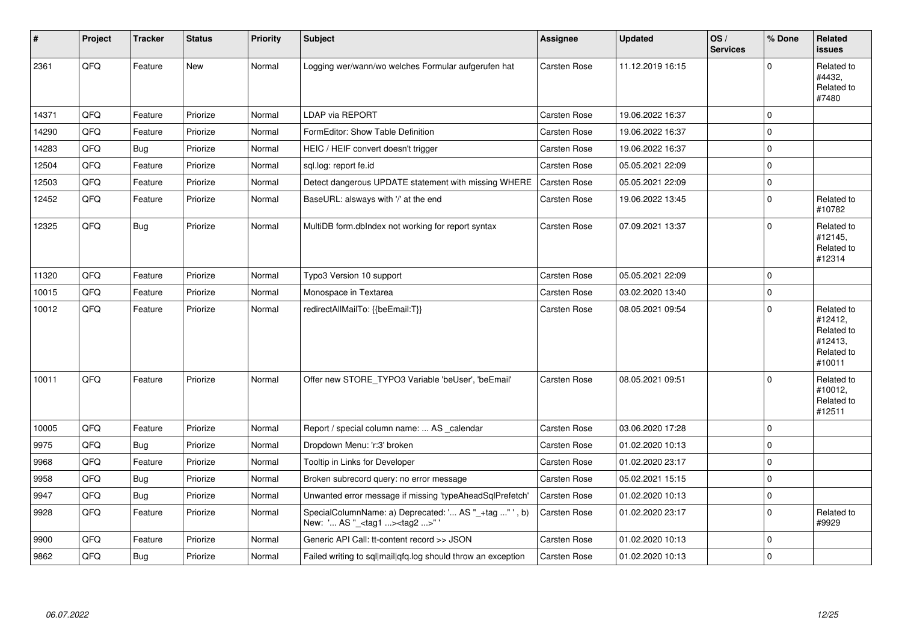| $\vert$ # | Project | <b>Tracker</b> | <b>Status</b> | <b>Priority</b> | <b>Subject</b>                                                                                    | Assignee            | <b>Updated</b>   | OS/<br><b>Services</b> | % Done       | Related<br><b>issues</b>                                               |
|-----------|---------|----------------|---------------|-----------------|---------------------------------------------------------------------------------------------------|---------------------|------------------|------------------------|--------------|------------------------------------------------------------------------|
| 2361      | QFQ     | Feature        | <b>New</b>    | Normal          | Logging wer/wann/wo welches Formular aufgerufen hat                                               | Carsten Rose        | 11.12.2019 16:15 |                        | $\Omega$     | Related to<br>#4432,<br>Related to<br>#7480                            |
| 14371     | QFQ     | Feature        | Priorize      | Normal          | <b>LDAP via REPORT</b>                                                                            | Carsten Rose        | 19.06.2022 16:37 |                        | $\mathbf 0$  |                                                                        |
| 14290     | QFQ     | Feature        | Priorize      | Normal          | FormEditor: Show Table Definition                                                                 | Carsten Rose        | 19.06.2022 16:37 |                        | $\mathbf 0$  |                                                                        |
| 14283     | QFQ     | <b>Bug</b>     | Priorize      | Normal          | HEIC / HEIF convert doesn't trigger                                                               | Carsten Rose        | 19.06.2022 16:37 |                        | $\Omega$     |                                                                        |
| 12504     | QFQ     | Feature        | Priorize      | Normal          | sql.log: report fe.id                                                                             | Carsten Rose        | 05.05.2021 22:09 |                        | $\mathbf 0$  |                                                                        |
| 12503     | QFQ     | Feature        | Priorize      | Normal          | Detect dangerous UPDATE statement with missing WHERE                                              | Carsten Rose        | 05.05.2021 22:09 |                        | $\mathbf 0$  |                                                                        |
| 12452     | QFQ     | Feature        | Priorize      | Normal          | BaseURL: alsways with '/' at the end                                                              | Carsten Rose        | 19.06.2022 13:45 |                        | $\Omega$     | Related to<br>#10782                                                   |
| 12325     | QFQ     | Bug            | Priorize      | Normal          | MultiDB form.dblndex not working for report syntax                                                | Carsten Rose        | 07.09.2021 13:37 |                        | $\Omega$     | Related to<br>#12145,<br>Related to<br>#12314                          |
| 11320     | QFQ     | Feature        | Priorize      | Normal          | Typo3 Version 10 support                                                                          | Carsten Rose        | 05.05.2021 22:09 |                        | $\mathbf 0$  |                                                                        |
| 10015     | QFQ     | Feature        | Priorize      | Normal          | Monospace in Textarea                                                                             | Carsten Rose        | 03.02.2020 13:40 |                        | $\mathbf{0}$ |                                                                        |
| 10012     | QFQ     | Feature        | Priorize      | Normal          | redirectAllMailTo: {{beEmail:T}}                                                                  | Carsten Rose        | 08.05.2021 09:54 |                        | $\mathbf 0$  | Related to<br>#12412,<br>Related to<br>#12413,<br>Related to<br>#10011 |
| 10011     | QFQ     | Feature        | Priorize      | Normal          | Offer new STORE_TYPO3 Variable 'beUser', 'beEmail'                                                | <b>Carsten Rose</b> | 08.05.2021 09:51 |                        | $\Omega$     | Related to<br>#10012,<br>Related to<br>#12511                          |
| 10005     | QFQ     | Feature        | Priorize      | Normal          | Report / special column name:  AS _calendar                                                       | Carsten Rose        | 03.06.2020 17:28 |                        | $\mathbf 0$  |                                                                        |
| 9975      | QFQ     | Bug            | Priorize      | Normal          | Dropdown Menu: 'r:3' broken                                                                       | Carsten Rose        | 01.02.2020 10:13 |                        | $\mathbf 0$  |                                                                        |
| 9968      | QFQ     | Feature        | Priorize      | Normal          | Tooltip in Links for Developer                                                                    | Carsten Rose        | 01.02.2020 23:17 |                        | $\mathbf 0$  |                                                                        |
| 9958      | QFQ     | <b>Bug</b>     | Priorize      | Normal          | Broken subrecord query: no error message                                                          | Carsten Rose        | 05.02.2021 15:15 |                        | $\mathbf 0$  |                                                                        |
| 9947      | QFQ     | Bug            | Priorize      | Normal          | Unwanted error message if missing 'typeAheadSqlPrefetch'                                          | Carsten Rose        | 01.02.2020 10:13 |                        | $\mathbf 0$  |                                                                        |
| 9928      | QFQ     | Feature        | Priorize      | Normal          | SpecialColumnName: a) Deprecated: ' AS "_+tag " ', b)<br>New: ' AS "_ <tag1><tag2>"</tag2></tag1> | Carsten Rose        | 01.02.2020 23:17 |                        | $\mathbf 0$  | Related to<br>#9929                                                    |
| 9900      | QFQ     | Feature        | Priorize      | Normal          | Generic API Call: tt-content record >> JSON                                                       | Carsten Rose        | 01.02.2020 10:13 |                        | $\Omega$     |                                                                        |
| 9862      | QFQ     | Bug            | Priorize      | Normal          | Failed writing to sql mail qfq.log should throw an exception                                      | <b>Carsten Rose</b> | 01.02.2020 10:13 |                        | $\mathbf 0$  |                                                                        |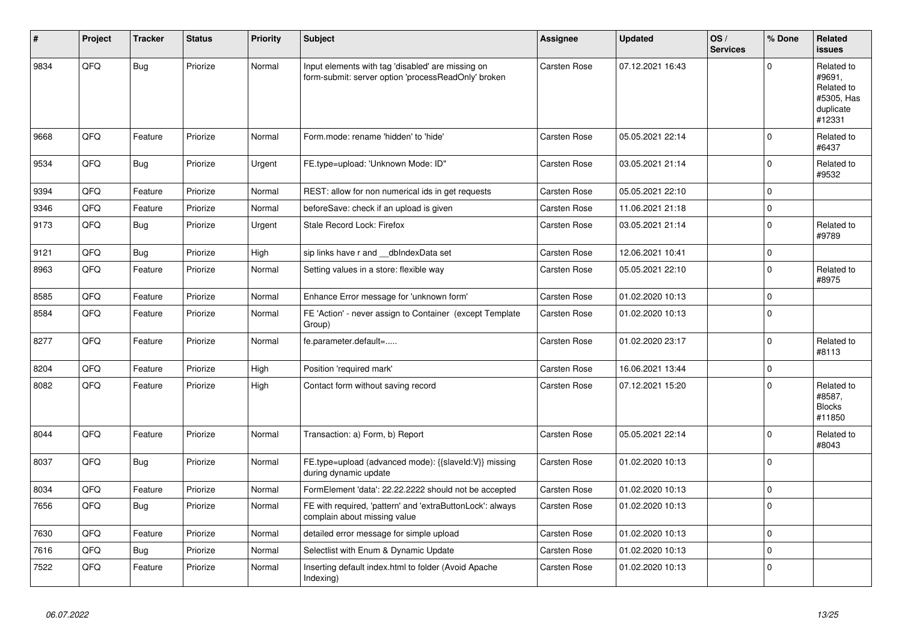| #    | Project | <b>Tracker</b> | <b>Status</b> | <b>Priority</b> | <b>Subject</b>                                                                                           | <b>Assignee</b>     | <b>Updated</b>   | OS/<br><b>Services</b> | % Done   | Related<br><b>issues</b>                                                |
|------|---------|----------------|---------------|-----------------|----------------------------------------------------------------------------------------------------------|---------------------|------------------|------------------------|----------|-------------------------------------------------------------------------|
| 9834 | QFQ     | Bug            | Priorize      | Normal          | Input elements with tag 'disabled' are missing on<br>form-submit: server option 'processReadOnly' broken | Carsten Rose        | 07.12.2021 16:43 |                        | $\Omega$ | Related to<br>#9691,<br>Related to<br>#5305, Has<br>duplicate<br>#12331 |
| 9668 | QFQ     | Feature        | Priorize      | Normal          | Form.mode: rename 'hidden' to 'hide'                                                                     | Carsten Rose        | 05.05.2021 22:14 |                        | $\Omega$ | Related to<br>#6437                                                     |
| 9534 | QFQ     | <b>Bug</b>     | Priorize      | Urgent          | FE.type=upload: 'Unknown Mode: ID"                                                                       | <b>Carsten Rose</b> | 03.05.2021 21:14 |                        | $\Omega$ | Related to<br>#9532                                                     |
| 9394 | QFQ     | Feature        | Priorize      | Normal          | REST: allow for non numerical ids in get requests                                                        | Carsten Rose        | 05.05.2021 22:10 |                        | $\Omega$ |                                                                         |
| 9346 | QFQ     | Feature        | Priorize      | Normal          | beforeSave: check if an upload is given                                                                  | Carsten Rose        | 11.06.2021 21:18 |                        | 0        |                                                                         |
| 9173 | QFQ     | Bug            | Priorize      | Urgent          | Stale Record Lock: Firefox                                                                               | Carsten Rose        | 03.05.2021 21:14 |                        | $\Omega$ | Related to<br>#9789                                                     |
| 9121 | QFQ     | <b>Bug</b>     | Priorize      | High            | sip links have r and dblndexData set                                                                     | Carsten Rose        | 12.06.2021 10:41 |                        | $\Omega$ |                                                                         |
| 8963 | QFQ     | Feature        | Priorize      | Normal          | Setting values in a store: flexible way                                                                  | Carsten Rose        | 05.05.2021 22:10 |                        | $\Omega$ | Related to<br>#8975                                                     |
| 8585 | QFQ     | Feature        | Priorize      | Normal          | Enhance Error message for 'unknown form'                                                                 | <b>Carsten Rose</b> | 01.02.2020 10:13 |                        | $\Omega$ |                                                                         |
| 8584 | QFQ     | Feature        | Priorize      | Normal          | FE 'Action' - never assign to Container (except Template<br>Group)                                       | Carsten Rose        | 01.02.2020 10:13 |                        | $\Omega$ |                                                                         |
| 8277 | QFQ     | Feature        | Priorize      | Normal          | fe.parameter.default=                                                                                    | Carsten Rose        | 01.02.2020 23:17 |                        | $\Omega$ | Related to<br>#8113                                                     |
| 8204 | QFQ     | Feature        | Priorize      | High            | Position 'required mark'                                                                                 | Carsten Rose        | 16.06.2021 13:44 |                        | 0        |                                                                         |
| 8082 | QFQ     | Feature        | Priorize      | High            | Contact form without saving record                                                                       | Carsten Rose        | 07.12.2021 15:20 |                        | $\Omega$ | Related to<br>#8587,<br><b>Blocks</b><br>#11850                         |
| 8044 | QFQ     | Feature        | Priorize      | Normal          | Transaction: a) Form, b) Report                                                                          | Carsten Rose        | 05.05.2021 22:14 |                        | $\Omega$ | Related to<br>#8043                                                     |
| 8037 | QFQ     | Bug            | Priorize      | Normal          | FE.type=upload (advanced mode): {{slaveId:V}} missing<br>during dynamic update                           | <b>Carsten Rose</b> | 01.02.2020 10:13 |                        | $\Omega$ |                                                                         |
| 8034 | QFQ     | Feature        | Priorize      | Normal          | FormElement 'data': 22.22.2222 should not be accepted                                                    | Carsten Rose        | 01.02.2020 10:13 |                        | $\Omega$ |                                                                         |
| 7656 | QFQ     | <b>Bug</b>     | Priorize      | Normal          | FE with required, 'pattern' and 'extraButtonLock': always<br>complain about missing value                | Carsten Rose        | 01.02.2020 10:13 |                        | $\Omega$ |                                                                         |
| 7630 | QFQ     | Feature        | Priorize      | Normal          | detailed error message for simple upload                                                                 | Carsten Rose        | 01.02.2020 10:13 |                        | $\Omega$ |                                                                         |
| 7616 | QFQ     | Bug            | Priorize      | Normal          | Selectlist with Enum & Dynamic Update                                                                    | Carsten Rose        | 01.02.2020 10:13 |                        | $\Omega$ |                                                                         |
| 7522 | QFQ     | Feature        | Priorize      | Normal          | Inserting default index.html to folder (Avoid Apache<br>Indexing)                                        | Carsten Rose        | 01.02.2020 10:13 |                        | $\Omega$ |                                                                         |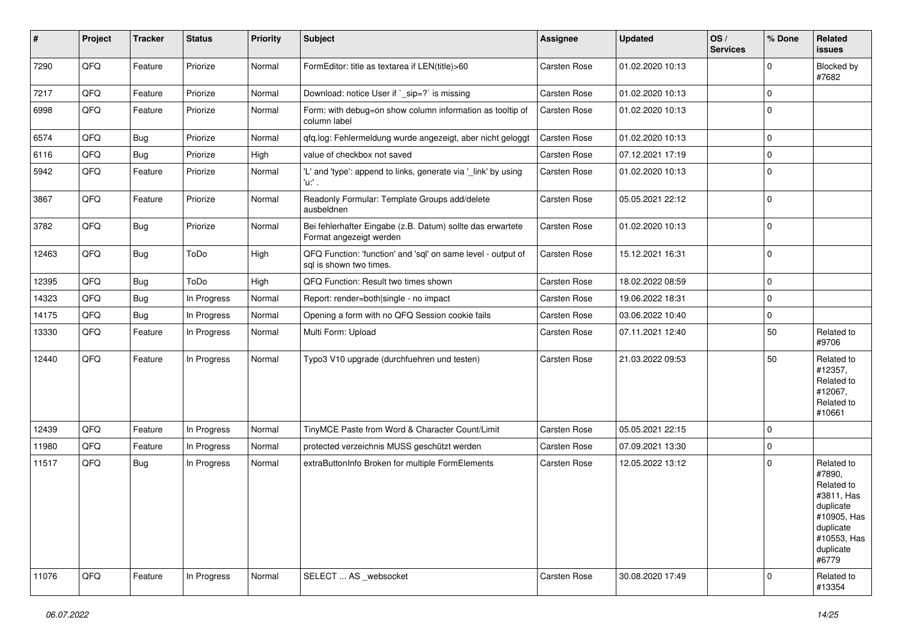| #     | Project | <b>Tracker</b> | <b>Status</b> | <b>Priority</b> | <b>Subject</b>                                                                          | Assignee     | <b>Updated</b>   | OS/<br><b>Services</b> | % Done      | Related<br>issues                                                                                                              |
|-------|---------|----------------|---------------|-----------------|-----------------------------------------------------------------------------------------|--------------|------------------|------------------------|-------------|--------------------------------------------------------------------------------------------------------------------------------|
| 7290  | QFQ     | Feature        | Priorize      | Normal          | FormEditor: title as textarea if LEN(title)>60                                          | Carsten Rose | 01.02.2020 10:13 |                        | $\Omega$    | Blocked by<br>#7682                                                                                                            |
| 7217  | QFQ     | Feature        | Priorize      | Normal          | Download: notice User if `_sip=?` is missing                                            | Carsten Rose | 01.02.2020 10:13 |                        | $\Omega$    |                                                                                                                                |
| 6998  | QFQ     | Feature        | Priorize      | Normal          | Form: with debug=on show column information as tooltip of<br>column label               | Carsten Rose | 01.02.2020 10:13 |                        | $\Omega$    |                                                                                                                                |
| 6574  | QFQ     | <b>Bug</b>     | Priorize      | Normal          | qfq.log: Fehlermeldung wurde angezeigt, aber nicht geloggt                              | Carsten Rose | 01.02.2020 10:13 |                        | $\Omega$    |                                                                                                                                |
| 6116  | QFQ     | <b>Bug</b>     | Priorize      | High            | value of checkbox not saved                                                             | Carsten Rose | 07.12.2021 17:19 |                        | $\Omega$    |                                                                                                                                |
| 5942  | QFQ     | Feature        | Priorize      | Normal          | 'L' and 'type': append to links, generate via '_link' by using<br>'u:' .                | Carsten Rose | 01.02.2020 10:13 |                        | $\Omega$    |                                                                                                                                |
| 3867  | QFQ     | Feature        | Priorize      | Normal          | Readonly Formular: Template Groups add/delete<br>ausbeldnen                             | Carsten Rose | 05.05.2021 22:12 |                        | $\Omega$    |                                                                                                                                |
| 3782  | QFQ     | <b>Bug</b>     | Priorize      | Normal          | Bei fehlerhafter Eingabe (z.B. Datum) sollte das erwartete<br>Format angezeigt werden   | Carsten Rose | 01.02.2020 10:13 |                        | $\Omega$    |                                                                                                                                |
| 12463 | QFQ     | Bug            | ToDo          | High            | QFQ Function: 'function' and 'sql' on same level - output of<br>sal is shown two times. | Carsten Rose | 15.12.2021 16:31 |                        | $\Omega$    |                                                                                                                                |
| 12395 | QFQ     | <b>Bug</b>     | ToDo          | High            | QFQ Function: Result two times shown                                                    | Carsten Rose | 18.02.2022 08:59 |                        | $\Omega$    |                                                                                                                                |
| 14323 | QFQ     | <b>Bug</b>     | In Progress   | Normal          | Report: render=both single - no impact                                                  | Carsten Rose | 19.06.2022 18:31 |                        | $\Omega$    |                                                                                                                                |
| 14175 | QFQ     | <b>Bug</b>     | In Progress   | Normal          | Opening a form with no QFQ Session cookie fails                                         | Carsten Rose | 03.06.2022 10:40 |                        | 0           |                                                                                                                                |
| 13330 | QFQ     | Feature        | In Progress   | Normal          | Multi Form: Upload                                                                      | Carsten Rose | 07.11.2021 12:40 |                        | 50          | Related to<br>#9706                                                                                                            |
| 12440 | QFQ     | Feature        | In Progress   | Normal          | Typo3 V10 upgrade (durchfuehren und testen)                                             | Carsten Rose | 21.03.2022 09:53 |                        | 50          | Related to<br>#12357,<br>Related to<br>#12067,<br>Related to<br>#10661                                                         |
| 12439 | QFQ     | Feature        | In Progress   | Normal          | TinyMCE Paste from Word & Character Count/Limit                                         | Carsten Rose | 05.05.2021 22:15 |                        | $\Omega$    |                                                                                                                                |
| 11980 | QFQ     | Feature        | In Progress   | Normal          | protected verzeichnis MUSS geschützt werden                                             | Carsten Rose | 07.09.2021 13:30 |                        | $\Omega$    |                                                                                                                                |
| 11517 | QFQ     | <b>Bug</b>     | In Progress   | Normal          | extraButtonInfo Broken for multiple FormElements                                        | Carsten Rose | 12.05.2022 13:12 |                        | $\Omega$    | Related to<br>#7890,<br>Related to<br>#3811, Has<br>duplicate<br>#10905, Has<br>duplicate<br>#10553, Has<br>duplicate<br>#6779 |
| 11076 | QFQ     | Feature        | In Progress   | Normal          | SELECT  AS _websocket                                                                   | Carsten Rose | 30.08.2020 17:49 |                        | $\mathbf 0$ | Related to<br>#13354                                                                                                           |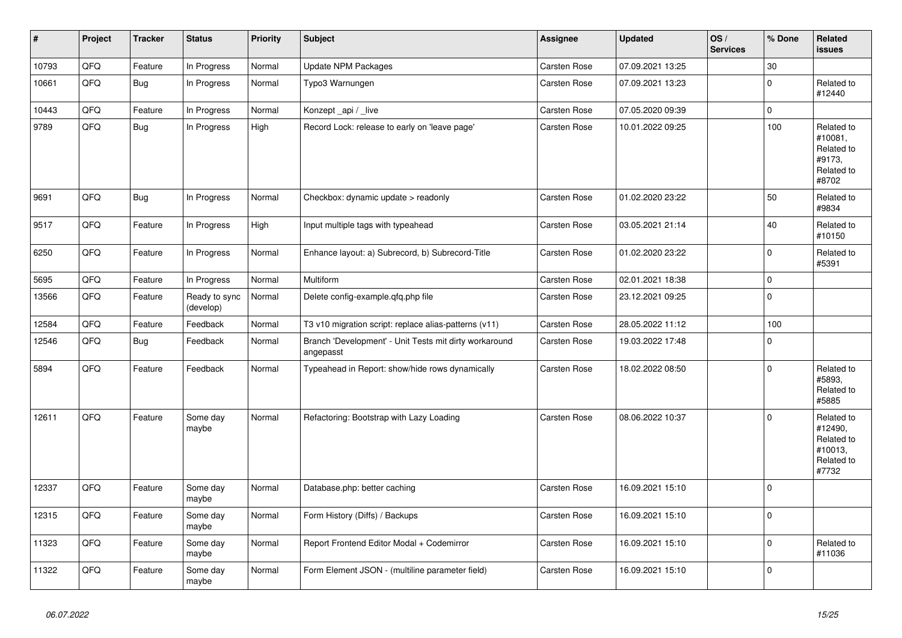| $\pmb{\#}$ | Project | <b>Tracker</b> | <b>Status</b>              | <b>Priority</b> | <b>Subject</b>                                                      | Assignee            | <b>Updated</b>   | OS/<br><b>Services</b> | % Done      | Related<br><b>issues</b>                                              |
|------------|---------|----------------|----------------------------|-----------------|---------------------------------------------------------------------|---------------------|------------------|------------------------|-------------|-----------------------------------------------------------------------|
| 10793      | QFQ     | Feature        | In Progress                | Normal          | <b>Update NPM Packages</b>                                          | Carsten Rose        | 07.09.2021 13:25 |                        | 30          |                                                                       |
| 10661      | QFQ     | Bug            | In Progress                | Normal          | Typo3 Warnungen                                                     | <b>Carsten Rose</b> | 07.09.2021 13:23 |                        | $\mathbf 0$ | Related to<br>#12440                                                  |
| 10443      | QFQ     | Feature        | In Progress                | Normal          | Konzept_api / live                                                  | Carsten Rose        | 07.05.2020 09:39 |                        | $\pmb{0}$   |                                                                       |
| 9789       | QFQ     | <b>Bug</b>     | In Progress                | High            | Record Lock: release to early on 'leave page'                       | <b>Carsten Rose</b> | 10.01.2022 09:25 |                        | 100         | Related to<br>#10081.<br>Related to<br>#9173,<br>Related to<br>#8702  |
| 9691       | QFQ     | Bug            | In Progress                | Normal          | Checkbox: dynamic update $>$ readonly                               | Carsten Rose        | 01.02.2020 23:22 |                        | 50          | Related to<br>#9834                                                   |
| 9517       | QFQ     | Feature        | In Progress                | High            | Input multiple tags with typeahead                                  | Carsten Rose        | 03.05.2021 21:14 |                        | 40          | Related to<br>#10150                                                  |
| 6250       | QFQ     | Feature        | In Progress                | Normal          | Enhance layout: a) Subrecord, b) Subrecord-Title                    | <b>Carsten Rose</b> | 01.02.2020 23:22 |                        | $\mathbf 0$ | Related to<br>#5391                                                   |
| 5695       | QFQ     | Feature        | In Progress                | Normal          | <b>Multiform</b>                                                    | Carsten Rose        | 02.01.2021 18:38 |                        | $\mathbf 0$ |                                                                       |
| 13566      | QFQ     | Feature        | Ready to sync<br>(develop) | Normal          | Delete config-example.gfg.php file                                  | Carsten Rose        | 23.12.2021 09:25 |                        | $\mathbf 0$ |                                                                       |
| 12584      | QFQ     | Feature        | Feedback                   | Normal          | T3 v10 migration script: replace alias-patterns (v11)               | Carsten Rose        | 28.05.2022 11:12 |                        | 100         |                                                                       |
| 12546      | QFQ     | <b>Bug</b>     | Feedback                   | Normal          | Branch 'Development' - Unit Tests mit dirty workaround<br>angepasst | Carsten Rose        | 19.03.2022 17:48 |                        | $\mathbf 0$ |                                                                       |
| 5894       | QFQ     | Feature        | Feedback                   | Normal          | Typeahead in Report: show/hide rows dynamically                     | Carsten Rose        | 18.02.2022 08:50 |                        | $\mathbf 0$ | Related to<br>#5893,<br>Related to<br>#5885                           |
| 12611      | QFQ     | Feature        | Some day<br>maybe          | Normal          | Refactoring: Bootstrap with Lazy Loading                            | <b>Carsten Rose</b> | 08.06.2022 10:37 |                        | $\mathbf 0$ | Related to<br>#12490,<br>Related to<br>#10013,<br>Related to<br>#7732 |
| 12337      | QFQ     | Feature        | Some day<br>maybe          | Normal          | Database.php: better caching                                        | <b>Carsten Rose</b> | 16.09.2021 15:10 |                        | $\mathbf 0$ |                                                                       |
| 12315      | QFQ     | Feature        | Some day<br>maybe          | Normal          | Form History (Diffs) / Backups                                      | Carsten Rose        | 16.09.2021 15:10 |                        | $\Omega$    |                                                                       |
| 11323      | QFQ     | Feature        | Some day<br>maybe          | Normal          | Report Frontend Editor Modal + Codemirror                           | Carsten Rose        | 16.09.2021 15:10 |                        | $\mathbf 0$ | Related to<br>#11036                                                  |
| 11322      | QFQ     | Feature        | Some day<br>maybe          | Normal          | Form Element JSON - (multiline parameter field)                     | Carsten Rose        | 16.09.2021 15:10 |                        | $\pmb{0}$   |                                                                       |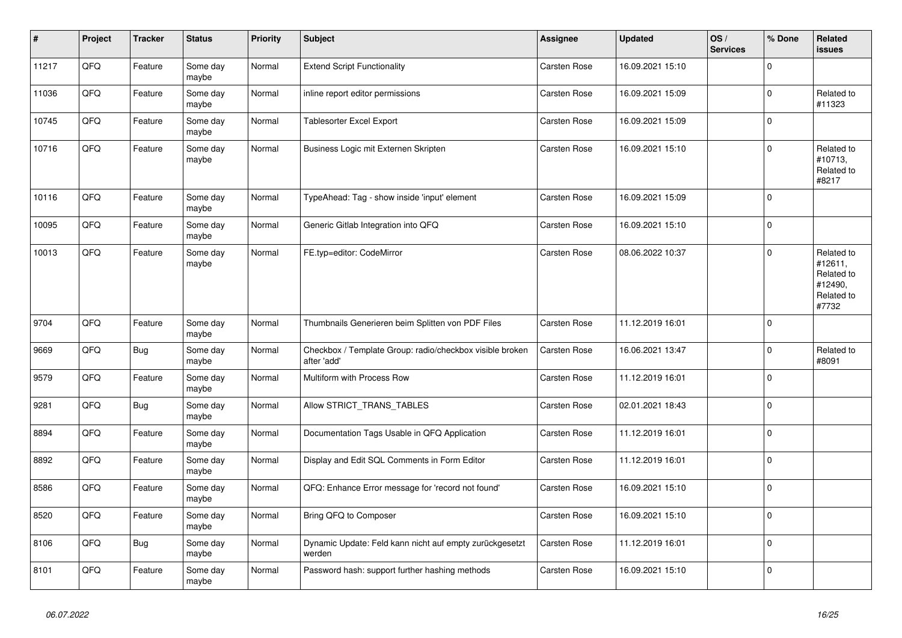| $\pmb{\#}$ | Project | <b>Tracker</b> | <b>Status</b>     | <b>Priority</b> | <b>Subject</b>                                                          | Assignee            | <b>Updated</b>   | OS/<br><b>Services</b> | % Done      | Related<br>issues                                                     |
|------------|---------|----------------|-------------------|-----------------|-------------------------------------------------------------------------|---------------------|------------------|------------------------|-------------|-----------------------------------------------------------------------|
| 11217      | QFQ     | Feature        | Some day<br>maybe | Normal          | <b>Extend Script Functionality</b>                                      | Carsten Rose        | 16.09.2021 15:10 |                        | $\Omega$    |                                                                       |
| 11036      | QFQ     | Feature        | Some day<br>maybe | Normal          | inline report editor permissions                                        | Carsten Rose        | 16.09.2021 15:09 |                        | $\pmb{0}$   | Related to<br>#11323                                                  |
| 10745      | QFQ     | Feature        | Some day<br>maybe | Normal          | Tablesorter Excel Export                                                | Carsten Rose        | 16.09.2021 15:09 |                        | $\Omega$    |                                                                       |
| 10716      | QFQ     | Feature        | Some day<br>maybe | Normal          | Business Logic mit Externen Skripten                                    | Carsten Rose        | 16.09.2021 15:10 |                        | $\Omega$    | Related to<br>#10713,<br>Related to<br>#8217                          |
| 10116      | QFQ     | Feature        | Some day<br>maybe | Normal          | TypeAhead: Tag - show inside 'input' element                            | Carsten Rose        | 16.09.2021 15:09 |                        | $\mathbf 0$ |                                                                       |
| 10095      | QFQ     | Feature        | Some day<br>maybe | Normal          | Generic Gitlab Integration into QFQ                                     | Carsten Rose        | 16.09.2021 15:10 |                        | 0           |                                                                       |
| 10013      | QFQ     | Feature        | Some day<br>maybe | Normal          | FE.typ=editor: CodeMirror                                               | Carsten Rose        | 08.06.2022 10:37 |                        | $\Omega$    | Related to<br>#12611,<br>Related to<br>#12490,<br>Related to<br>#7732 |
| 9704       | QFQ     | Feature        | Some day<br>maybe | Normal          | Thumbnails Generieren beim Splitten von PDF Files                       | Carsten Rose        | 11.12.2019 16:01 |                        | $\Omega$    |                                                                       |
| 9669       | QFQ     | <b>Bug</b>     | Some day<br>maybe | Normal          | Checkbox / Template Group: radio/checkbox visible broken<br>after 'add' | Carsten Rose        | 16.06.2021 13:47 |                        | $\mathbf 0$ | Related to<br>#8091                                                   |
| 9579       | QFQ     | Feature        | Some day<br>maybe | Normal          | Multiform with Process Row                                              | Carsten Rose        | 11.12.2019 16:01 |                        | 0           |                                                                       |
| 9281       | QFQ     | <b>Bug</b>     | Some day<br>maybe | Normal          | Allow STRICT_TRANS_TABLES                                               | Carsten Rose        | 02.01.2021 18:43 |                        | $\pmb{0}$   |                                                                       |
| 8894       | QFQ     | Feature        | Some day<br>maybe | Normal          | Documentation Tags Usable in QFQ Application                            | Carsten Rose        | 11.12.2019 16:01 |                        | 0           |                                                                       |
| 8892       | QFQ     | Feature        | Some day<br>maybe | Normal          | Display and Edit SQL Comments in Form Editor                            | <b>Carsten Rose</b> | 11.12.2019 16:01 |                        | $\pmb{0}$   |                                                                       |
| 8586       | QFQ     | Feature        | Some day<br>maybe | Normal          | QFQ: Enhance Error message for 'record not found'                       | Carsten Rose        | 16.09.2021 15:10 |                        | $\mathbf 0$ |                                                                       |
| 8520       | QFQ     | Feature        | Some day<br>maybe | Normal          | Bring QFQ to Composer                                                   | Carsten Rose        | 16.09.2021 15:10 |                        | $\Omega$    |                                                                       |
| 8106       | QFQ     | <b>Bug</b>     | Some day<br>maybe | Normal          | Dynamic Update: Feld kann nicht auf empty zurückgesetzt<br>werden       | Carsten Rose        | 11.12.2019 16:01 |                        | $\pmb{0}$   |                                                                       |
| 8101       | QFQ     | Feature        | Some day<br>maybe | Normal          | Password hash: support further hashing methods                          | Carsten Rose        | 16.09.2021 15:10 |                        | $\mathbf 0$ |                                                                       |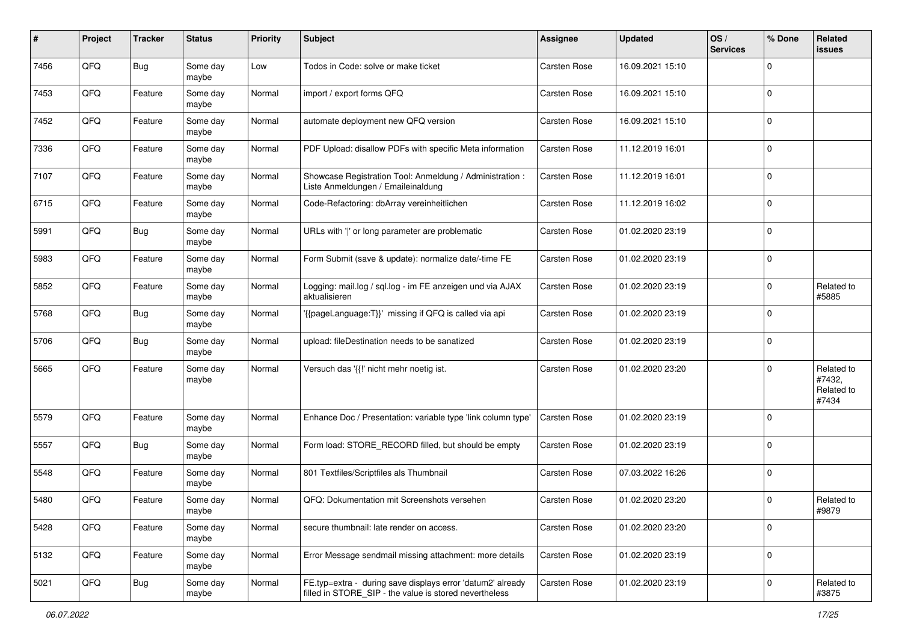| ∦    | Project | <b>Tracker</b> | <b>Status</b>     | <b>Priority</b> | <b>Subject</b>                                                                                                       | <b>Assignee</b>     | <b>Updated</b>   | OS/<br><b>Services</b> | % Done      | Related<br>issues                           |
|------|---------|----------------|-------------------|-----------------|----------------------------------------------------------------------------------------------------------------------|---------------------|------------------|------------------------|-------------|---------------------------------------------|
| 7456 | QFQ     | <b>Bug</b>     | Some day<br>maybe | Low             | Todos in Code: solve or make ticket                                                                                  | Carsten Rose        | 16.09.2021 15:10 |                        | $\Omega$    |                                             |
| 7453 | QFQ     | Feature        | Some day<br>maybe | Normal          | import / export forms QFQ                                                                                            | Carsten Rose        | 16.09.2021 15:10 |                        | $\mathbf 0$ |                                             |
| 7452 | QFQ     | Feature        | Some day<br>maybe | Normal          | automate deployment new QFQ version                                                                                  | Carsten Rose        | 16.09.2021 15:10 |                        | $\Omega$    |                                             |
| 7336 | QFQ     | Feature        | Some day<br>maybe | Normal          | PDF Upload: disallow PDFs with specific Meta information                                                             | <b>Carsten Rose</b> | 11.12.2019 16:01 |                        | $\mathbf 0$ |                                             |
| 7107 | QFQ     | Feature        | Some day<br>maybe | Normal          | Showcase Registration Tool: Anmeldung / Administration :<br>Liste Anmeldungen / Emaileinaldung                       | Carsten Rose        | 11.12.2019 16:01 |                        | $\mathbf 0$ |                                             |
| 6715 | QFQ     | Feature        | Some day<br>maybe | Normal          | Code-Refactoring: dbArray vereinheitlichen                                                                           | Carsten Rose        | 11.12.2019 16:02 |                        | $\mathbf 0$ |                                             |
| 5991 | QFQ     | <b>Bug</b>     | Some day<br>maybe | Normal          | URLs with ' ' or long parameter are problematic                                                                      | Carsten Rose        | 01.02.2020 23:19 |                        | $\mathbf 0$ |                                             |
| 5983 | QFQ     | Feature        | Some day<br>maybe | Normal          | Form Submit (save & update): normalize date/-time FE                                                                 | Carsten Rose        | 01.02.2020 23:19 |                        | $\mathbf 0$ |                                             |
| 5852 | QFQ     | Feature        | Some day<br>maybe | Normal          | Logging: mail.log / sql.log - im FE anzeigen und via AJAX<br>aktualisieren                                           | Carsten Rose        | 01.02.2020 23:19 |                        | $\mathbf 0$ | Related to<br>#5885                         |
| 5768 | QFQ     | <b>Bug</b>     | Some day<br>maybe | Normal          | '{{pageLanguage:T}}' missing if QFQ is called via api                                                                | Carsten Rose        | 01.02.2020 23:19 |                        | 0           |                                             |
| 5706 | QFQ     | <b>Bug</b>     | Some day<br>maybe | Normal          | upload: fileDestination needs to be sanatized                                                                        | Carsten Rose        | 01.02.2020 23:19 |                        | $\mathbf 0$ |                                             |
| 5665 | QFQ     | Feature        | Some day<br>maybe | Normal          | Versuch das '{{!' nicht mehr noetig ist.                                                                             | Carsten Rose        | 01.02.2020 23:20 |                        | $\mathbf 0$ | Related to<br>#7432,<br>Related to<br>#7434 |
| 5579 | QFQ     | Feature        | Some day<br>maybe | Normal          | Enhance Doc / Presentation: variable type 'link column type'                                                         | Carsten Rose        | 01.02.2020 23:19 |                        | $\mathbf 0$ |                                             |
| 5557 | QFQ     | <b>Bug</b>     | Some day<br>maybe | Normal          | Form load: STORE RECORD filled, but should be empty                                                                  | Carsten Rose        | 01.02.2020 23:19 |                        | $\mathbf 0$ |                                             |
| 5548 | QFQ     | Feature        | Some day<br>maybe | Normal          | 801 Textfiles/Scriptfiles als Thumbnail                                                                              | Carsten Rose        | 07.03.2022 16:26 |                        | $\mathbf 0$ |                                             |
| 5480 | QFQ     | Feature        | Some day<br>maybe | Normal          | QFQ: Dokumentation mit Screenshots versehen                                                                          | Carsten Rose        | 01.02.2020 23:20 |                        | $\mathbf 0$ | Related to<br>#9879                         |
| 5428 | QFQ     | Feature        | Some day<br>maybe | Normal          | secure thumbnail: late render on access.                                                                             | Carsten Rose        | 01.02.2020 23:20 |                        | $\mathbf 0$ |                                             |
| 5132 | QFQ     | Feature        | Some day<br>maybe | Normal          | Error Message sendmail missing attachment: more details                                                              | Carsten Rose        | 01.02.2020 23:19 |                        | $\mathbf 0$ |                                             |
| 5021 | QFQ     | <b>Bug</b>     | Some day<br>maybe | Normal          | FE.typ=extra - during save displays error 'datum2' already<br>filled in STORE SIP - the value is stored nevertheless | Carsten Rose        | 01.02.2020 23:19 |                        | $\mathbf 0$ | Related to<br>#3875                         |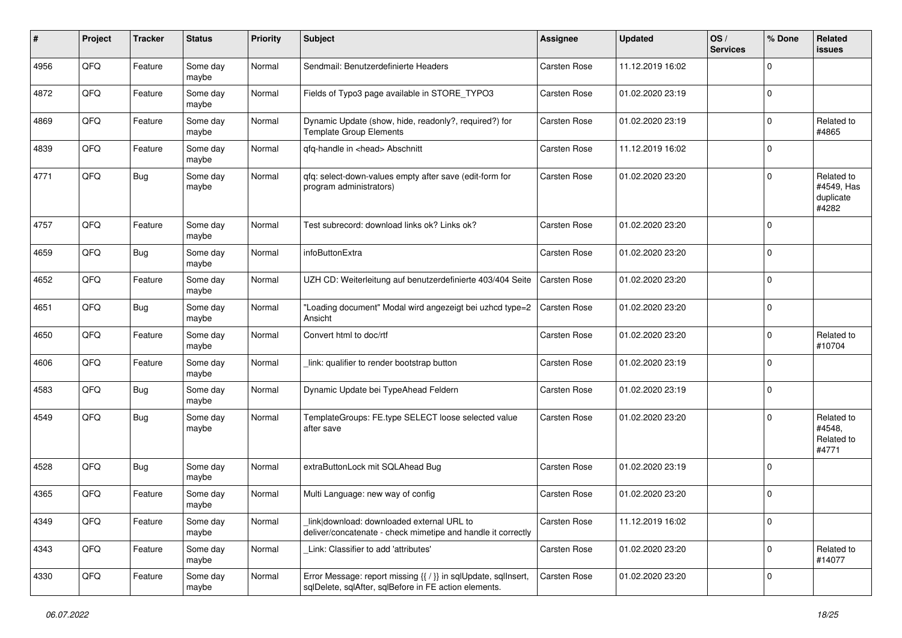| #    | Project | <b>Tracker</b> | <b>Status</b>     | <b>Priority</b> | <b>Subject</b>                                                                                                          | <b>Assignee</b> | <b>Updated</b>   | OS/<br><b>Services</b> | % Done      | Related<br>issues                              |
|------|---------|----------------|-------------------|-----------------|-------------------------------------------------------------------------------------------------------------------------|-----------------|------------------|------------------------|-------------|------------------------------------------------|
| 4956 | QFQ     | Feature        | Some day<br>maybe | Normal          | Sendmail: Benutzerdefinierte Headers                                                                                    | Carsten Rose    | 11.12.2019 16:02 |                        | $\Omega$    |                                                |
| 4872 | QFQ     | Feature        | Some day<br>maybe | Normal          | Fields of Typo3 page available in STORE_TYPO3                                                                           | Carsten Rose    | 01.02.2020 23:19 |                        | $\mathbf 0$ |                                                |
| 4869 | QFQ     | Feature        | Some day<br>maybe | Normal          | Dynamic Update (show, hide, readonly?, required?) for<br><b>Template Group Elements</b>                                 | Carsten Rose    | 01.02.2020 23:19 |                        | $\Omega$    | Related to<br>#4865                            |
| 4839 | QFQ     | Feature        | Some day<br>maybe | Normal          | qfq-handle in <head> Abschnitt</head>                                                                                   | Carsten Rose    | 11.12.2019 16:02 |                        | 0           |                                                |
| 4771 | QFQ     | Bug            | Some day<br>maybe | Normal          | qfq: select-down-values empty after save (edit-form for<br>program administrators)                                      | Carsten Rose    | 01.02.2020 23:20 |                        | $\Omega$    | Related to<br>#4549, Has<br>duplicate<br>#4282 |
| 4757 | QFQ     | Feature        | Some day<br>maybe | Normal          | Test subrecord: download links ok? Links ok?                                                                            | Carsten Rose    | 01.02.2020 23:20 |                        | $\Omega$    |                                                |
| 4659 | QFQ     | Bug            | Some day<br>maybe | Normal          | infoButtonExtra                                                                                                         | Carsten Rose    | 01.02.2020 23:20 |                        | $\Omega$    |                                                |
| 4652 | QFQ     | Feature        | Some day<br>maybe | Normal          | UZH CD: Weiterleitung auf benutzerdefinierte 403/404 Seite                                                              | Carsten Rose    | 01.02.2020 23:20 |                        | $\Omega$    |                                                |
| 4651 | QFQ     | Bug            | Some day<br>maybe | Normal          | "Loading document" Modal wird angezeigt bei uzhcd type=2<br>Ansicht                                                     | Carsten Rose    | 01.02.2020 23:20 |                        | $\Omega$    |                                                |
| 4650 | QFQ     | Feature        | Some day<br>maybe | Normal          | Convert html to doc/rtf                                                                                                 | Carsten Rose    | 01.02.2020 23:20 |                        | $\mathbf 0$ | Related to<br>#10704                           |
| 4606 | QFQ     | Feature        | Some day<br>maybe | Normal          | link: qualifier to render bootstrap button                                                                              | Carsten Rose    | 01.02.2020 23:19 |                        | $\Omega$    |                                                |
| 4583 | QFQ     | <b>Bug</b>     | Some day<br>maybe | Normal          | Dynamic Update bei TypeAhead Feldern                                                                                    | Carsten Rose    | 01.02.2020 23:19 |                        | $\Omega$    |                                                |
| 4549 | QFQ     | Bug            | Some day<br>maybe | Normal          | TemplateGroups: FE.type SELECT loose selected value<br>after save                                                       | Carsten Rose    | 01.02.2020 23:20 |                        | $\Omega$    | Related to<br>#4548,<br>Related to<br>#4771    |
| 4528 | QFQ     | <b>Bug</b>     | Some day<br>maybe | Normal          | extraButtonLock mit SQLAhead Bug                                                                                        | Carsten Rose    | 01.02.2020 23:19 |                        | $\Omega$    |                                                |
| 4365 | QFQ     | Feature        | Some day<br>maybe | Normal          | Multi Language: new way of config                                                                                       | Carsten Rose    | 01.02.2020 23:20 |                        | $\Omega$    |                                                |
| 4349 | QFQ     | Feature        | Some day<br>maybe | Normal          | link download: downloaded external URL to<br>deliver/concatenate - check mimetipe and handle it correctly               | Carsten Rose    | 11.12.2019 16:02 |                        | 0           |                                                |
| 4343 | QFQ     | Feature        | Some day<br>maybe | Normal          | Link: Classifier to add 'attributes'                                                                                    | Carsten Rose    | 01.02.2020 23:20 |                        | 0           | Related to<br>#14077                           |
| 4330 | QFQ     | Feature        | Some day<br>maybe | Normal          | Error Message: report missing {{ / }} in sqlUpdate, sqlInsert,<br>sqlDelete, sqlAfter, sqlBefore in FE action elements. | Carsten Rose    | 01.02.2020 23:20 |                        | 0           |                                                |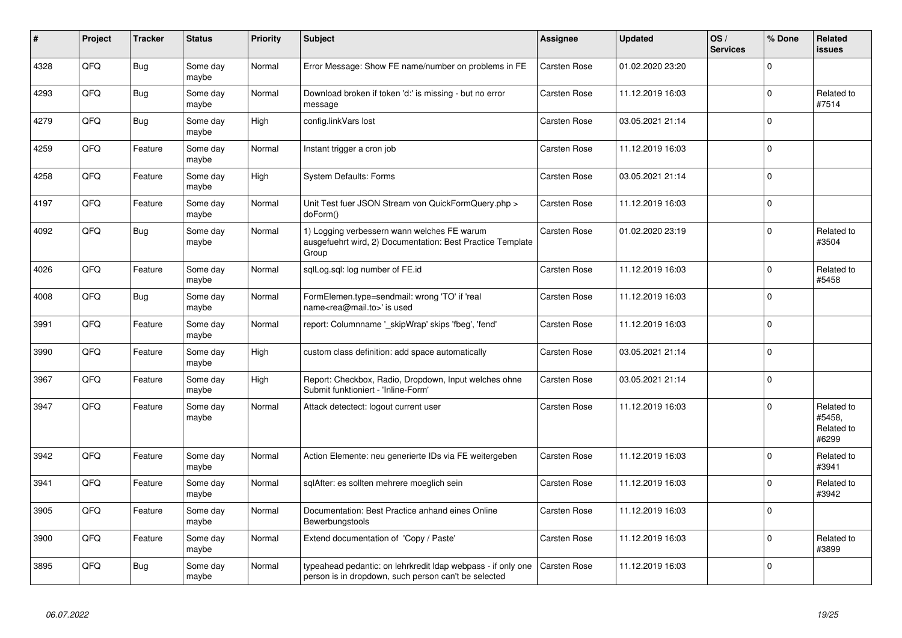| #    | Project | <b>Tracker</b> | <b>Status</b>     | <b>Priority</b> | <b>Subject</b>                                                                                                       | <b>Assignee</b>     | <b>Updated</b>   | OS/<br><b>Services</b> | % Done      | Related<br><b>issues</b>                    |
|------|---------|----------------|-------------------|-----------------|----------------------------------------------------------------------------------------------------------------------|---------------------|------------------|------------------------|-------------|---------------------------------------------|
| 4328 | QFQ     | <b>Bug</b>     | Some day<br>maybe | Normal          | Error Message: Show FE name/number on problems in FE                                                                 | <b>Carsten Rose</b> | 01.02.2020 23:20 |                        | $\mathbf 0$ |                                             |
| 4293 | QFQ     | <b>Bug</b>     | Some day<br>maybe | Normal          | Download broken if token 'd:' is missing - but no error<br>message                                                   | Carsten Rose        | 11.12.2019 16:03 |                        | $\mathbf 0$ | Related to<br>#7514                         |
| 4279 | QFQ     | Bug            | Some day<br>maybe | High            | config.linkVars lost                                                                                                 | Carsten Rose        | 03.05.2021 21:14 |                        | $\mathbf 0$ |                                             |
| 4259 | QFQ     | Feature        | Some day<br>maybe | Normal          | Instant trigger a cron job                                                                                           | Carsten Rose        | 11.12.2019 16:03 |                        | $\mathbf 0$ |                                             |
| 4258 | QFQ     | Feature        | Some day<br>maybe | High            | System Defaults: Forms                                                                                               | Carsten Rose        | 03.05.2021 21:14 |                        | $\mathbf 0$ |                                             |
| 4197 | QFQ     | Feature        | Some day<br>maybe | Normal          | Unit Test fuer JSON Stream von QuickFormQuery.php ><br>doForm()                                                      | Carsten Rose        | 11.12.2019 16:03 |                        | $\mathbf 0$ |                                             |
| 4092 | QFQ     | <b>Bug</b>     | Some day<br>maybe | Normal          | 1) Logging verbessern wann welches FE warum<br>ausgefuehrt wird, 2) Documentation: Best Practice Template<br>Group   | Carsten Rose        | 01.02.2020 23:19 |                        | $\Omega$    | Related to<br>#3504                         |
| 4026 | QFQ     | Feature        | Some day<br>maybe | Normal          | sqlLog.sql: log number of FE.id                                                                                      | Carsten Rose        | 11.12.2019 16:03 |                        | $\mathbf 0$ | Related to<br>#5458                         |
| 4008 | QFQ     | Bug            | Some day<br>maybe | Normal          | FormElemen.type=sendmail: wrong 'TO' if 'real<br>name <rea@mail.to>' is used</rea@mail.to>                           | Carsten Rose        | 11.12.2019 16:03 |                        | $\mathbf 0$ |                                             |
| 3991 | QFQ     | Feature        | Some day<br>maybe | Normal          | report: Columnname '_skipWrap' skips 'fbeg', 'fend'                                                                  | Carsten Rose        | 11.12.2019 16:03 |                        | $\mathbf 0$ |                                             |
| 3990 | QFQ     | Feature        | Some day<br>maybe | High            | custom class definition: add space automatically                                                                     | Carsten Rose        | 03.05.2021 21:14 |                        | $\mathbf 0$ |                                             |
| 3967 | QFQ     | Feature        | Some day<br>maybe | High            | Report: Checkbox, Radio, Dropdown, Input welches ohne<br>Submit funktioniert - 'Inline-Form'                         | Carsten Rose        | 03.05.2021 21:14 |                        | $\Omega$    |                                             |
| 3947 | QFQ     | Feature        | Some day<br>maybe | Normal          | Attack detectect: logout current user                                                                                | Carsten Rose        | 11.12.2019 16:03 |                        | $\Omega$    | Related to<br>#5458.<br>Related to<br>#6299 |
| 3942 | QFQ     | Feature        | Some day<br>maybe | Normal          | Action Elemente: neu generierte IDs via FE weitergeben                                                               | Carsten Rose        | 11.12.2019 16:03 |                        | $\mathbf 0$ | Related to<br>#3941                         |
| 3941 | QFQ     | Feature        | Some day<br>maybe | Normal          | sqlAfter: es sollten mehrere moeglich sein                                                                           | Carsten Rose        | 11.12.2019 16:03 |                        | $\Omega$    | Related to<br>#3942                         |
| 3905 | QFQ     | Feature        | Some day<br>maybe | Normal          | Documentation: Best Practice anhand eines Online<br>Bewerbungstools                                                  | Carsten Rose        | 11.12.2019 16:03 |                        | $\Omega$    |                                             |
| 3900 | QFQ     | Feature        | Some day<br>maybe | Normal          | Extend documentation of 'Copy / Paste'                                                                               | Carsten Rose        | 11.12.2019 16:03 |                        | $\Omega$    | Related to<br>#3899                         |
| 3895 | QFQ     | Bug            | Some day<br>maybe | Normal          | typeahead pedantic: on lehrkredit Idap webpass - if only one<br>person is in dropdown, such person can't be selected | Carsten Rose        | 11.12.2019 16:03 |                        | $\Omega$    |                                             |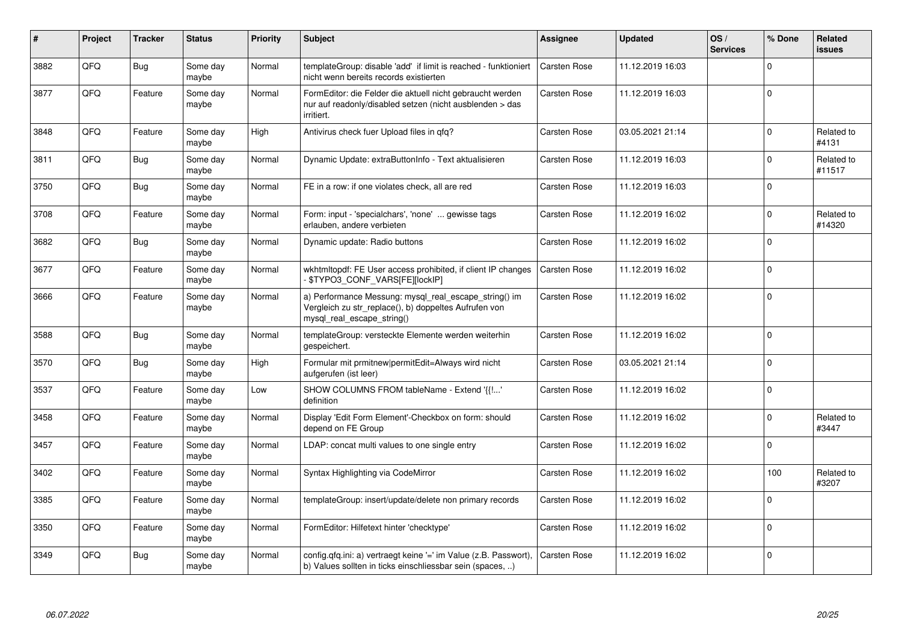| ∦    | Project | <b>Tracker</b> | <b>Status</b>     | <b>Priority</b> | <b>Subject</b>                                                                                                                               | <b>Assignee</b>     | <b>Updated</b>   | OS/<br><b>Services</b> | % Done      | Related<br>issues    |
|------|---------|----------------|-------------------|-----------------|----------------------------------------------------------------------------------------------------------------------------------------------|---------------------|------------------|------------------------|-------------|----------------------|
| 3882 | QFQ     | Bug            | Some day<br>maybe | Normal          | templateGroup: disable 'add' if limit is reached - funktioniert<br>nicht wenn bereits records existierten                                    | Carsten Rose        | 11.12.2019 16:03 |                        | $\Omega$    |                      |
| 3877 | QFQ     | Feature        | Some day<br>maybe | Normal          | FormEditor: die Felder die aktuell nicht gebraucht werden<br>nur auf readonly/disabled setzen (nicht ausblenden > das<br>irritiert.          | Carsten Rose        | 11.12.2019 16:03 |                        | $\Omega$    |                      |
| 3848 | QFQ     | Feature        | Some day<br>maybe | High            | Antivirus check fuer Upload files in qfq?                                                                                                    | Carsten Rose        | 03.05.2021 21:14 |                        | $\Omega$    | Related to<br>#4131  |
| 3811 | QFQ     | <b>Bug</b>     | Some day<br>maybe | Normal          | Dynamic Update: extraButtonInfo - Text aktualisieren                                                                                         | Carsten Rose        | 11.12.2019 16:03 |                        | $\Omega$    | Related to<br>#11517 |
| 3750 | QFQ     | <b>Bug</b>     | Some day<br>maybe | Normal          | FE in a row: if one violates check, all are red                                                                                              | Carsten Rose        | 11.12.2019 16:03 |                        | $\mathbf 0$ |                      |
| 3708 | QFQ     | Feature        | Some day<br>maybe | Normal          | Form: input - 'specialchars', 'none'  gewisse tags<br>erlauben, andere verbieten                                                             | Carsten Rose        | 11.12.2019 16:02 |                        | $\Omega$    | Related to<br>#14320 |
| 3682 | QFQ     | <b>Bug</b>     | Some day<br>maybe | Normal          | Dynamic update: Radio buttons                                                                                                                | Carsten Rose        | 11.12.2019 16:02 |                        | $\Omega$    |                      |
| 3677 | QFQ     | Feature        | Some day<br>maybe | Normal          | wkhtmitopdf: FE User access prohibited, if client IP changes<br>\$TYPO3 CONF VARS[FE][lockIP]                                                | <b>Carsten Rose</b> | 11.12.2019 16:02 |                        | $\Omega$    |                      |
| 3666 | QFQ     | Feature        | Some day<br>maybe | Normal          | a) Performance Messung: mysql_real_escape_string() im<br>Vergleich zu str_replace(), b) doppeltes Aufrufen von<br>mysql real escape string() | Carsten Rose        | 11.12.2019 16:02 |                        | $\mathbf 0$ |                      |
| 3588 | QFQ     | Bug            | Some day<br>maybe | Normal          | templateGroup: versteckte Elemente werden weiterhin<br>gespeichert.                                                                          | Carsten Rose        | 11.12.2019 16:02 |                        | $\Omega$    |                      |
| 3570 | QFQ     | <b>Bug</b>     | Some day<br>maybe | High            | Formular mit prmitnew permitEdit=Always wird nicht<br>aufgerufen (ist leer)                                                                  | Carsten Rose        | 03.05.2021 21:14 |                        | $\mathbf 0$ |                      |
| 3537 | QFQ     | Feature        | Some day<br>maybe | Low             | SHOW COLUMNS FROM tableName - Extend '{{!'<br>definition                                                                                     | Carsten Rose        | 11.12.2019 16:02 |                        | $\Omega$    |                      |
| 3458 | QFQ     | Feature        | Some day<br>maybe | Normal          | Display 'Edit Form Element'-Checkbox on form: should<br>depend on FE Group                                                                   | Carsten Rose        | 11.12.2019 16:02 |                        | $\Omega$    | Related to<br>#3447  |
| 3457 | QFQ     | Feature        | Some day<br>maybe | Normal          | LDAP: concat multi values to one single entry                                                                                                | Carsten Rose        | 11.12.2019 16:02 |                        | $\Omega$    |                      |
| 3402 | QFQ     | Feature        | Some day<br>maybe | Normal          | Syntax Highlighting via CodeMirror                                                                                                           | Carsten Rose        | 11.12.2019 16:02 |                        | 100         | Related to<br>#3207  |
| 3385 | QFQ     | Feature        | Some day<br>maybe | Normal          | templateGroup: insert/update/delete non primary records                                                                                      | Carsten Rose        | 11.12.2019 16:02 |                        | $\Omega$    |                      |
| 3350 | QFQ     | Feature        | Some day<br>maybe | Normal          | FormEditor: Hilfetext hinter 'checktype'                                                                                                     | Carsten Rose        | 11.12.2019 16:02 |                        | $\Omega$    |                      |
| 3349 | QFQ     | Bug            | Some day<br>maybe | Normal          | config.qfq.ini: a) vertraegt keine '=' im Value (z.B. Passwort),<br>b) Values sollten in ticks einschliessbar sein (spaces, )                | Carsten Rose        | 11.12.2019 16:02 |                        | $\Omega$    |                      |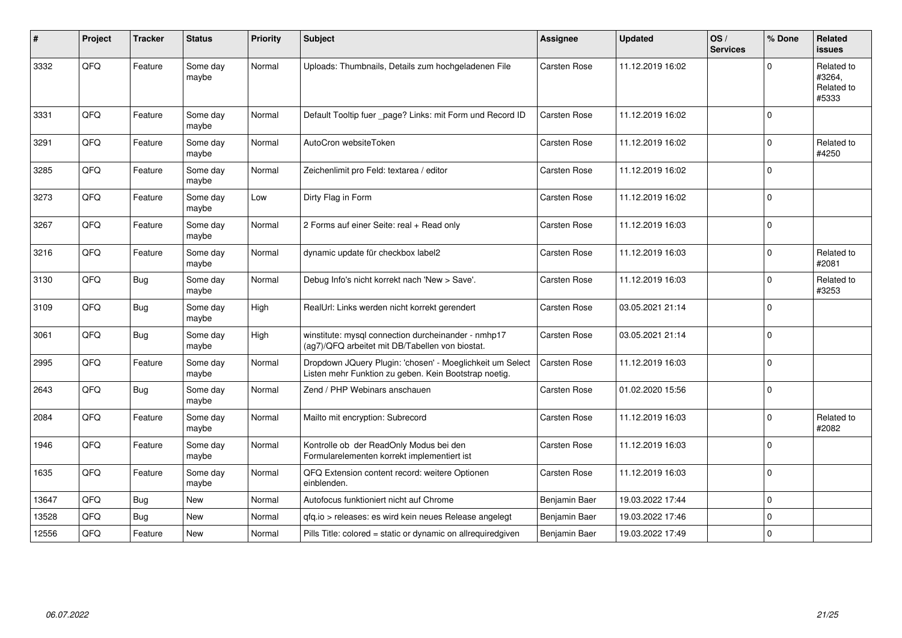| $\sharp$ | Project | <b>Tracker</b> | <b>Status</b>     | <b>Priority</b> | <b>Subject</b>                                                                                                     | <b>Assignee</b> | <b>Updated</b>   | OS/<br><b>Services</b> | % Done      | Related<br><b>issues</b>                    |
|----------|---------|----------------|-------------------|-----------------|--------------------------------------------------------------------------------------------------------------------|-----------------|------------------|------------------------|-------------|---------------------------------------------|
| 3332     | QFQ     | Feature        | Some day<br>maybe | Normal          | Uploads: Thumbnails, Details zum hochgeladenen File                                                                | Carsten Rose    | 11.12.2019 16:02 |                        | $\Omega$    | Related to<br>#3264,<br>Related to<br>#5333 |
| 3331     | QFQ     | Feature        | Some day<br>maybe | Normal          | Default Tooltip fuer _page? Links: mit Form und Record ID                                                          | Carsten Rose    | 11.12.2019 16:02 |                        | $\mathbf 0$ |                                             |
| 3291     | QFQ     | Feature        | Some day<br>maybe | Normal          | AutoCron websiteToken                                                                                              | Carsten Rose    | 11.12.2019 16:02 |                        | $\Omega$    | Related to<br>#4250                         |
| 3285     | QFQ     | Feature        | Some day<br>maybe | Normal          | Zeichenlimit pro Feld: textarea / editor                                                                           | Carsten Rose    | 11.12.2019 16:02 |                        | $\Omega$    |                                             |
| 3273     | QFQ     | Feature        | Some day<br>maybe | Low             | Dirty Flag in Form                                                                                                 | Carsten Rose    | 11.12.2019 16:02 |                        | $\Omega$    |                                             |
| 3267     | QFQ     | Feature        | Some day<br>maybe | Normal          | 2 Forms auf einer Seite: real + Read only                                                                          | Carsten Rose    | 11.12.2019 16:03 |                        | $\Omega$    |                                             |
| 3216     | QFQ     | Feature        | Some day<br>maybe | Normal          | dynamic update für checkbox label2                                                                                 | Carsten Rose    | 11.12.2019 16:03 |                        | $\mathbf 0$ | Related to<br>#2081                         |
| 3130     | QFQ     | <b>Bug</b>     | Some day<br>maybe | Normal          | Debug Info's nicht korrekt nach 'New > Save'.                                                                      | Carsten Rose    | 11.12.2019 16:03 |                        | $\Omega$    | Related to<br>#3253                         |
| 3109     | QFQ     | Bug            | Some day<br>maybe | High            | RealUrl: Links werden nicht korrekt gerendert                                                                      | Carsten Rose    | 03.05.2021 21:14 |                        | $\Omega$    |                                             |
| 3061     | QFQ     | <b>Bug</b>     | Some day<br>maybe | High            | winstitute: mysql connection durcheinander - nmhp17<br>(ag7)/QFQ arbeitet mit DB/Tabellen von biostat.             | Carsten Rose    | 03.05.2021 21:14 |                        | $\Omega$    |                                             |
| 2995     | QFQ     | Feature        | Some day<br>maybe | Normal          | Dropdown JQuery Plugin: 'chosen' - Moeglichkeit um Select<br>Listen mehr Funktion zu geben. Kein Bootstrap noetig. | Carsten Rose    | 11.12.2019 16:03 |                        | $\Omega$    |                                             |
| 2643     | QFQ     | Bug            | Some day<br>maybe | Normal          | Zend / PHP Webinars anschauen                                                                                      | Carsten Rose    | 01.02.2020 15:56 |                        | $\mathbf 0$ |                                             |
| 2084     | QFQ     | Feature        | Some day<br>maybe | Normal          | Mailto mit encryption: Subrecord                                                                                   | Carsten Rose    | 11.12.2019 16:03 |                        | $\Omega$    | Related to<br>#2082                         |
| 1946     | QFQ     | Feature        | Some day<br>maybe | Normal          | Kontrolle ob der ReadOnly Modus bei den<br>Formularelementen korrekt implementiert ist                             | Carsten Rose    | 11.12.2019 16:03 |                        | $\Omega$    |                                             |
| 1635     | QFQ     | Feature        | Some day<br>maybe | Normal          | QFQ Extension content record: weitere Optionen<br>einblenden.                                                      | Carsten Rose    | 11.12.2019 16:03 |                        | $\Omega$    |                                             |
| 13647    | QFQ     | Bug            | New               | Normal          | Autofocus funktioniert nicht auf Chrome                                                                            | Benjamin Baer   | 19.03.2022 17:44 |                        | $\Omega$    |                                             |
| 13528    | QFQ     | Bug            | <b>New</b>        | Normal          | qfq.io > releases: es wird kein neues Release angelegt                                                             | Benjamin Baer   | 19.03.2022 17:46 |                        | $\mathbf 0$ |                                             |
| 12556    | QFQ     | Feature        | <b>New</b>        | Normal          | Pills Title: colored = static or dynamic on allrequiredgiven                                                       | Benjamin Baer   | 19.03.2022 17:49 |                        | 0           |                                             |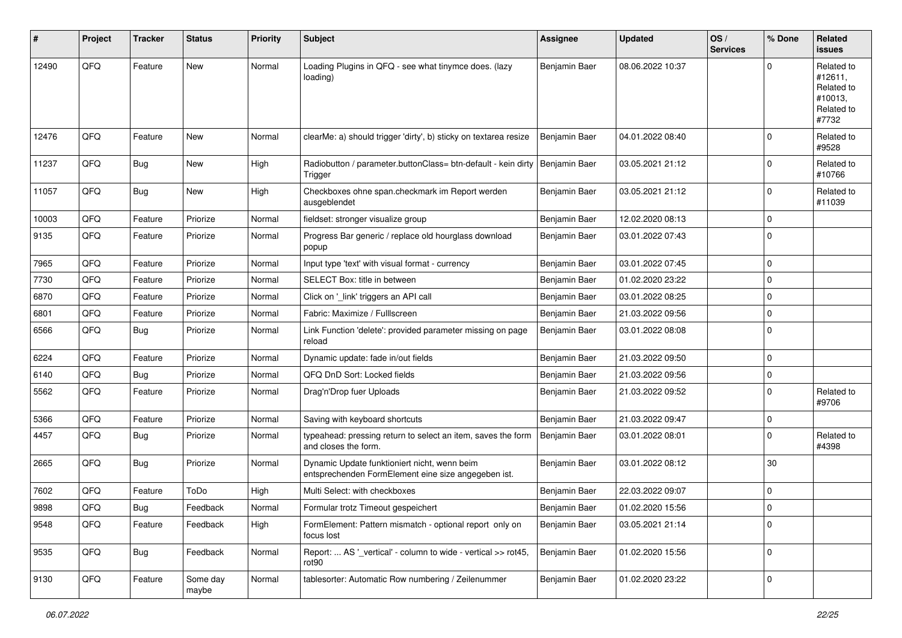| $\sharp$ | Project | <b>Tracker</b> | <b>Status</b>     | <b>Priority</b> | <b>Subject</b>                                                                                      | <b>Assignee</b> | <b>Updated</b>   | OS/<br><b>Services</b> | % Done      | Related<br>issues                                                     |
|----------|---------|----------------|-------------------|-----------------|-----------------------------------------------------------------------------------------------------|-----------------|------------------|------------------------|-------------|-----------------------------------------------------------------------|
| 12490    | QFQ     | Feature        | <b>New</b>        | Normal          | Loading Plugins in QFQ - see what tinymce does. (lazy<br>loading)                                   | Benjamin Baer   | 08.06.2022 10:37 |                        | $\Omega$    | Related to<br>#12611,<br>Related to<br>#10013,<br>Related to<br>#7732 |
| 12476    | QFQ     | Feature        | New               | Normal          | clearMe: a) should trigger 'dirty', b) sticky on textarea resize                                    | Benjamin Baer   | 04.01.2022 08:40 |                        | $\Omega$    | Related to<br>#9528                                                   |
| 11237    | QFQ     | <b>Bug</b>     | New               | High            | Radiobutton / parameter.buttonClass= btn-default - kein dirty   Benjamin Baer<br>Trigger            |                 | 03.05.2021 21:12 |                        | $\Omega$    | Related to<br>#10766                                                  |
| 11057    | QFQ     | <b>Bug</b>     | New               | High            | Checkboxes ohne span.checkmark im Report werden<br>ausgeblendet                                     | Benjamin Baer   | 03.05.2021 21:12 |                        | $\Omega$    | Related to<br>#11039                                                  |
| 10003    | QFQ     | Feature        | Priorize          | Normal          | fieldset: stronger visualize group                                                                  | Benjamin Baer   | 12.02.2020 08:13 |                        | $\Omega$    |                                                                       |
| 9135     | QFQ     | Feature        | Priorize          | Normal          | Progress Bar generic / replace old hourglass download<br>popup                                      | Benjamin Baer   | 03.01.2022 07:43 |                        | $\Omega$    |                                                                       |
| 7965     | QFQ     | Feature        | Priorize          | Normal          | Input type 'text' with visual format - currency                                                     | Benjamin Baer   | 03.01.2022 07:45 |                        | $\Omega$    |                                                                       |
| 7730     | QFQ     | Feature        | Priorize          | Normal          | SELECT Box: title in between                                                                        | Benjamin Baer   | 01.02.2020 23:22 |                        | $\Omega$    |                                                                       |
| 6870     | QFQ     | Feature        | Priorize          | Normal          | Click on '_link' triggers an API call                                                               | Benjamin Baer   | 03.01.2022 08:25 |                        | $\Omega$    |                                                                       |
| 6801     | QFQ     | Feature        | Priorize          | Normal          | Fabric: Maximize / FullIscreen                                                                      | Benjamin Baer   | 21.03.2022 09:56 |                        | $\Omega$    |                                                                       |
| 6566     | QFQ     | <b>Bug</b>     | Priorize          | Normal          | Link Function 'delete': provided parameter missing on page<br>reload                                | Benjamin Baer   | 03.01.2022 08:08 |                        | $\Omega$    |                                                                       |
| 6224     | QFQ     | Feature        | Priorize          | Normal          | Dynamic update: fade in/out fields                                                                  | Benjamin Baer   | 21.03.2022 09:50 |                        | $\Omega$    |                                                                       |
| 6140     | QFQ     | <b>Bug</b>     | Priorize          | Normal          | QFQ DnD Sort: Locked fields                                                                         | Benjamin Baer   | 21.03.2022 09:56 |                        | $\mathbf 0$ |                                                                       |
| 5562     | QFQ     | Feature        | Priorize          | Normal          | Drag'n'Drop fuer Uploads                                                                            | Benjamin Baer   | 21.03.2022 09:52 |                        | $\Omega$    | Related to<br>#9706                                                   |
| 5366     | QFQ     | Feature        | Priorize          | Normal          | Saving with keyboard shortcuts                                                                      | Benjamin Baer   | 21.03.2022 09:47 |                        | $\mathbf 0$ |                                                                       |
| 4457     | QFQ     | <b>Bug</b>     | Priorize          | Normal          | typeahead: pressing return to select an item, saves the form<br>and closes the form.                | Benjamin Baer   | 03.01.2022 08:01 |                        | $\Omega$    | Related to<br>#4398                                                   |
| 2665     | QFQ     | <b>Bug</b>     | Priorize          | Normal          | Dynamic Update funktioniert nicht, wenn beim<br>entsprechenden FormElement eine size angegeben ist. | Benjamin Baer   | 03.01.2022 08:12 |                        | 30          |                                                                       |
| 7602     | QFQ     | Feature        | ToDo              | High            | Multi Select: with checkboxes                                                                       | Benjamin Baer   | 22.03.2022 09:07 |                        | $\Omega$    |                                                                       |
| 9898     | QFQ     | Bug            | Feedback          | Normal          | Formular trotz Timeout gespeichert                                                                  | Benjamin Baer   | 01.02.2020 15:56 |                        | $\Omega$    |                                                                       |
| 9548     | QFQ     | Feature        | Feedback          | High            | FormElement: Pattern mismatch - optional report only on<br>focus lost                               | Benjamin Baer   | 03.05.2021 21:14 |                        | $\mathbf 0$ |                                                                       |
| 9535     | QFQ     | <b>Bug</b>     | Feedback          | Normal          | Report:  AS '_vertical' - column to wide - vertical >> rot45,<br>rot <sub>90</sub>                  | Benjamin Baer   | 01.02.2020 15:56 |                        | $\mathbf 0$ |                                                                       |
| 9130     | QFQ     | Feature        | Some day<br>maybe | Normal          | tablesorter: Automatic Row numbering / Zeilenummer                                                  | Benjamin Baer   | 01.02.2020 23:22 |                        | 0           |                                                                       |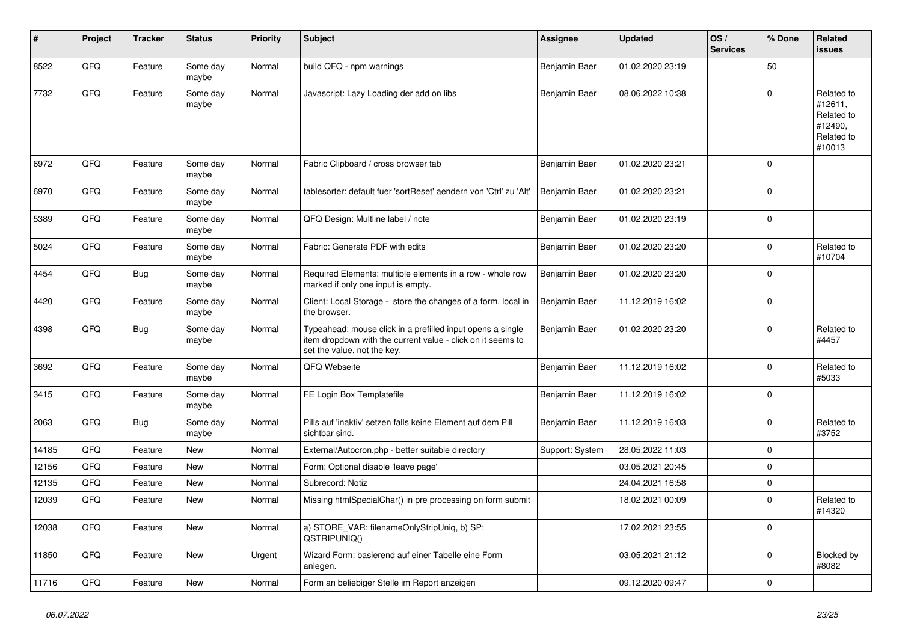| ∦     | Project | <b>Tracker</b> | <b>Status</b>     | <b>Priority</b> | <b>Subject</b>                                                                                                                                           | Assignee        | <b>Updated</b>   | OS/<br><b>Services</b> | % Done   | Related<br>issues                                                      |
|-------|---------|----------------|-------------------|-----------------|----------------------------------------------------------------------------------------------------------------------------------------------------------|-----------------|------------------|------------------------|----------|------------------------------------------------------------------------|
| 8522  | QFQ     | Feature        | Some day<br>maybe | Normal          | build QFQ - npm warnings                                                                                                                                 | Benjamin Baer   | 01.02.2020 23:19 |                        | 50       |                                                                        |
| 7732  | QFQ     | Feature        | Some day<br>maybe | Normal          | Javascript: Lazy Loading der add on libs                                                                                                                 | Benjamin Baer   | 08.06.2022 10:38 |                        | $\Omega$ | Related to<br>#12611,<br>Related to<br>#12490,<br>Related to<br>#10013 |
| 6972  | QFQ     | Feature        | Some day<br>maybe | Normal          | Fabric Clipboard / cross browser tab                                                                                                                     | Benjamin Baer   | 01.02.2020 23:21 |                        | $\Omega$ |                                                                        |
| 6970  | QFQ     | Feature        | Some day<br>maybe | Normal          | tablesorter: default fuer 'sortReset' aendern von 'Ctrl' zu 'Alt'                                                                                        | Benjamin Baer   | 01.02.2020 23:21 |                        | $\Omega$ |                                                                        |
| 5389  | QFQ     | Feature        | Some day<br>maybe | Normal          | QFQ Design: Multline label / note                                                                                                                        | Benjamin Baer   | 01.02.2020 23:19 |                        | $\Omega$ |                                                                        |
| 5024  | QFQ     | Feature        | Some day<br>maybe | Normal          | Fabric: Generate PDF with edits                                                                                                                          | Benjamin Baer   | 01.02.2020 23:20 |                        | $\Omega$ | Related to<br>#10704                                                   |
| 4454  | QFQ     | <b>Bug</b>     | Some day<br>maybe | Normal          | Required Elements: multiple elements in a row - whole row<br>marked if only one input is empty.                                                          | Benjamin Baer   | 01.02.2020 23:20 |                        | $\Omega$ |                                                                        |
| 4420  | QFQ     | Feature        | Some day<br>maybe | Normal          | Client: Local Storage - store the changes of a form, local in<br>the browser.                                                                            | Benjamin Baer   | 11.12.2019 16:02 |                        | $\Omega$ |                                                                        |
| 4398  | QFQ     | <b>Bug</b>     | Some day<br>maybe | Normal          | Typeahead: mouse click in a prefilled input opens a single<br>item dropdown with the current value - click on it seems to<br>set the value, not the key. | Benjamin Baer   | 01.02.2020 23:20 |                        | $\Omega$ | Related to<br>#4457                                                    |
| 3692  | QFQ     | Feature        | Some day<br>maybe | Normal          | QFQ Webseite                                                                                                                                             | Benjamin Baer   | 11.12.2019 16:02 |                        | $\Omega$ | Related to<br>#5033                                                    |
| 3415  | QFQ     | Feature        | Some day<br>maybe | Normal          | FE Login Box Templatefile                                                                                                                                | Benjamin Baer   | 11.12.2019 16:02 |                        | $\Omega$ |                                                                        |
| 2063  | QFQ     | <b>Bug</b>     | Some day<br>maybe | Normal          | Pills auf 'inaktiv' setzen falls keine Element auf dem Pill<br>sichtbar sind.                                                                            | Benjamin Baer   | 11.12.2019 16:03 |                        | $\Omega$ | Related to<br>#3752                                                    |
| 14185 | QFQ     | Feature        | <b>New</b>        | Normal          | External/Autocron.php - better suitable directory                                                                                                        | Support: System | 28.05.2022 11:03 |                        | 0        |                                                                        |
| 12156 | QFQ     | Feature        | <b>New</b>        | Normal          | Form: Optional disable 'leave page'                                                                                                                      |                 | 03.05.2021 20:45 |                        | $\Omega$ |                                                                        |
| 12135 | QFQ     | Feature        | <b>New</b>        | Normal          | Subrecord: Notiz                                                                                                                                         |                 | 24.04.2021 16:58 |                        | 0        |                                                                        |
| 12039 | QFQ     | Feature        | New               | Normal          | Missing htmlSpecialChar() in pre processing on form submit                                                                                               |                 | 18.02.2021 00:09 |                        | $\Omega$ | Related to<br>#14320                                                   |
| 12038 | QFQ     | Feature        | <b>New</b>        | Normal          | a) STORE VAR: filenameOnlyStripUniq, b) SP:<br>QSTRIPUNIQ()                                                                                              |                 | 17.02.2021 23:55 |                        | $\Omega$ |                                                                        |
| 11850 | QFQ     | Feature        | <b>New</b>        | Urgent          | Wizard Form: basierend auf einer Tabelle eine Form<br>anlegen.                                                                                           |                 | 03.05.2021 21:12 |                        | 0        | Blocked by<br>#8082                                                    |
| 11716 | QFQ     | Feature        | New               | Normal          | Form an beliebiger Stelle im Report anzeigen                                                                                                             |                 | 09.12.2020 09:47 |                        | $\Omega$ |                                                                        |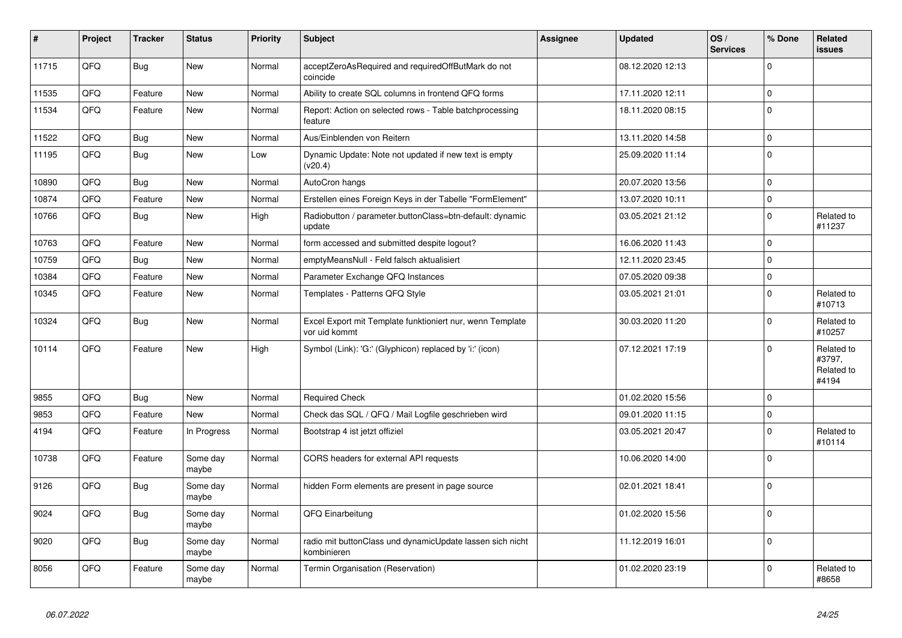| $\vert$ # | Project | <b>Tracker</b> | <b>Status</b>     | <b>Priority</b> | <b>Subject</b>                                                             | <b>Assignee</b> | <b>Updated</b>   | OS/<br><b>Services</b> | % Done      | Related<br><b>issues</b>                    |
|-----------|---------|----------------|-------------------|-----------------|----------------------------------------------------------------------------|-----------------|------------------|------------------------|-------------|---------------------------------------------|
| 11715     | QFQ     | <b>Bug</b>     | <b>New</b>        | Normal          | acceptZeroAsRequired and requiredOffButMark do not<br>coincide             |                 | 08.12.2020 12:13 |                        | $\Omega$    |                                             |
| 11535     | QFQ     | Feature        | <b>New</b>        | Normal          | Ability to create SQL columns in frontend QFQ forms                        |                 | 17.11.2020 12:11 |                        | $\mathbf 0$ |                                             |
| 11534     | QFQ     | Feature        | New               | Normal          | Report: Action on selected rows - Table batchprocessing<br>feature         |                 | 18.11.2020 08:15 |                        | $\Omega$    |                                             |
| 11522     | QFQ     | Bug            | New               | Normal          | Aus/Einblenden von Reitern                                                 |                 | 13.11.2020 14:58 |                        | $\mathbf 0$ |                                             |
| 11195     | QFQ     | <b>Bug</b>     | New               | Low             | Dynamic Update: Note not updated if new text is empty<br>(v20.4)           |                 | 25.09.2020 11:14 |                        | $\Omega$    |                                             |
| 10890     | QFQ     | Bug            | <b>New</b>        | Normal          | AutoCron hangs                                                             |                 | 20.07.2020 13:56 |                        | 0           |                                             |
| 10874     | QFQ     | Feature        | New               | Normal          | Erstellen eines Foreign Keys in der Tabelle "FormElement"                  |                 | 13.07.2020 10:11 |                        | $\Omega$    |                                             |
| 10766     | QFQ     | Bug            | New               | High            | Radiobutton / parameter.buttonClass=btn-default: dynamic<br>update         |                 | 03.05.2021 21:12 |                        | $\Omega$    | Related to<br>#11237                        |
| 10763     | QFQ     | Feature        | New               | Normal          | form accessed and submitted despite logout?                                |                 | 16.06.2020 11:43 |                        | $\Omega$    |                                             |
| 10759     | QFQ     | Bug            | New               | Normal          | emptyMeansNull - Feld falsch aktualisiert                                  |                 | 12.11.2020 23:45 |                        | $\Omega$    |                                             |
| 10384     | QFQ     | Feature        | New               | Normal          | Parameter Exchange QFQ Instances                                           |                 | 07.05.2020 09:38 |                        | $\Omega$    |                                             |
| 10345     | QFQ     | Feature        | New               | Normal          | Templates - Patterns QFQ Style                                             |                 | 03.05.2021 21:01 |                        | $\Omega$    | Related to<br>#10713                        |
| 10324     | QFQ     | Bug            | New               | Normal          | Excel Export mit Template funktioniert nur, wenn Template<br>vor uid kommt |                 | 30.03.2020 11:20 |                        | $\Omega$    | Related to<br>#10257                        |
| 10114     | QFQ     | Feature        | New               | High            | Symbol (Link): 'G:' (Glyphicon) replaced by 'i:' (icon)                    |                 | 07.12.2021 17:19 |                        | $\Omega$    | Related to<br>#3797,<br>Related to<br>#4194 |
| 9855      | QFQ     | Bug            | <b>New</b>        | Normal          | <b>Required Check</b>                                                      |                 | 01.02.2020 15:56 |                        | $\Omega$    |                                             |
| 9853      | QFQ     | Feature        | <b>New</b>        | Normal          | Check das SQL / QFQ / Mail Logfile geschrieben wird                        |                 | 09.01.2020 11:15 |                        | $\Omega$    |                                             |
| 4194      | QFQ     | Feature        | In Progress       | Normal          | Bootstrap 4 ist jetzt offiziel                                             |                 | 03.05.2021 20:47 |                        | $\Omega$    | Related to<br>#10114                        |
| 10738     | QFQ     | Feature        | Some day<br>maybe | Normal          | CORS headers for external API requests                                     |                 | 10.06.2020 14:00 |                        | $\Omega$    |                                             |
| 9126      | QFQ     | Bug            | Some day<br>maybe | Normal          | hidden Form elements are present in page source                            |                 | 02.01.2021 18:41 |                        | $\Omega$    |                                             |
| 9024      | QFQ     | <b>Bug</b>     | Some day<br>maybe | Normal          | QFQ Einarbeitung                                                           |                 | 01.02.2020 15:56 |                        | $\Omega$    |                                             |
| 9020      | QFQ     | <b>Bug</b>     | Some day<br>maybe | Normal          | radio mit buttonClass und dynamicUpdate lassen sich nicht<br>kombinieren   |                 | 11.12.2019 16:01 |                        | $\Omega$    |                                             |
| 8056      | QFQ     | Feature        | Some day<br>maybe | Normal          | Termin Organisation (Reservation)                                          |                 | 01.02.2020 23:19 |                        | $\Omega$    | Related to<br>#8658                         |